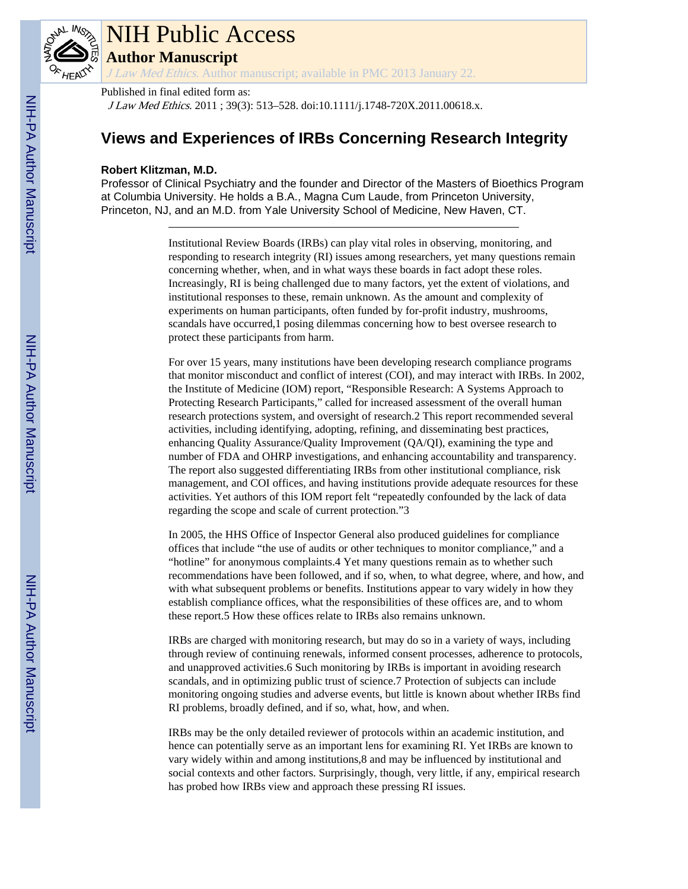

# NIH Public Access

**Author Manuscript**

J Law Med Ethics. Author manuscript; available in PMC 2013 January 22.

Published in final edited form as: J Law Med Ethics. 2011 ; 39(3): 513–528. doi:10.1111/j.1748-720X.2011.00618.x.

## **Views and Experiences of IRBs Concerning Research Integrity**

## **Robert Klitzman, M.D.**

Professor of Clinical Psychiatry and the founder and Director of the Masters of Bioethics Program at Columbia University. He holds a B.A., Magna Cum Laude, from Princeton University, Princeton, NJ, and an M.D. from Yale University School of Medicine, New Haven, CT.

> Institutional Review Boards (IRBs) can play vital roles in observing, monitoring, and responding to research integrity (RI) issues among researchers, yet many questions remain concerning whether, when, and in what ways these boards in fact adopt these roles. Increasingly, RI is being challenged due to many factors, yet the extent of violations, and institutional responses to these, remain unknown. As the amount and complexity of experiments on human participants, often funded by for-profit industry, mushrooms, scandals have occurred,1 posing dilemmas concerning how to best oversee research to protect these participants from harm.

For over 15 years, many institutions have been developing research compliance programs that monitor misconduct and conflict of interest (COI), and may interact with IRBs. In 2002, the Institute of Medicine (IOM) report, "Responsible Research: A Systems Approach to Protecting Research Participants," called for increased assessment of the overall human research protections system, and oversight of research.2 This report recommended several activities, including identifying, adopting, refining, and disseminating best practices, enhancing Quality Assurance/Quality Improvement (QA/QI), examining the type and number of FDA and OHRP investigations, and enhancing accountability and transparency. The report also suggested differentiating IRBs from other institutional compliance, risk management, and COI offices, and having institutions provide adequate resources for these activities. Yet authors of this IOM report felt "repeatedly confounded by the lack of data regarding the scope and scale of current protection."3

In 2005, the HHS Office of Inspector General also produced guidelines for compliance offices that include "the use of audits or other techniques to monitor compliance," and a "hotline" for anonymous complaints.4 Yet many questions remain as to whether such recommendations have been followed, and if so, when, to what degree, where, and how, and with what subsequent problems or benefits. Institutions appear to vary widely in how they establish compliance offices, what the responsibilities of these offices are, and to whom these report.5 How these offices relate to IRBs also remains unknown.

IRBs are charged with monitoring research, but may do so in a variety of ways, including through review of continuing renewals, informed consent processes, adherence to protocols, and unapproved activities.6 Such monitoring by IRBs is important in avoiding research scandals, and in optimizing public trust of science.7 Protection of subjects can include monitoring ongoing studies and adverse events, but little is known about whether IRBs find RI problems, broadly defined, and if so, what, how, and when.

IRBs may be the only detailed reviewer of protocols within an academic institution, and hence can potentially serve as an important lens for examining RI. Yet IRBs are known to vary widely within and among institutions,8 and may be influenced by institutional and social contexts and other factors. Surprisingly, though, very little, if any, empirical research has probed how IRBs view and approach these pressing RI issues.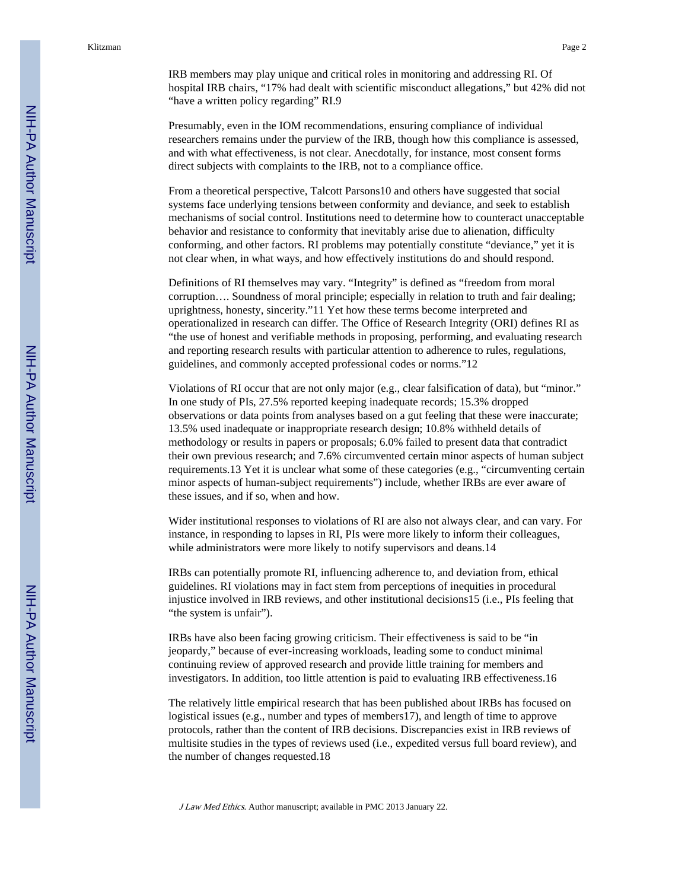IRB members may play unique and critical roles in monitoring and addressing RI. Of hospital IRB chairs, "17% had dealt with scientific misconduct allegations," but 42% did not "have a written policy regarding" RI.9

Presumably, even in the IOM recommendations, ensuring compliance of individual researchers remains under the purview of the IRB, though how this compliance is assessed, and with what effectiveness, is not clear. Anecdotally, for instance, most consent forms direct subjects with complaints to the IRB, not to a compliance office.

From a theoretical perspective, Talcott Parsons10 and others have suggested that social systems face underlying tensions between conformity and deviance, and seek to establish mechanisms of social control. Institutions need to determine how to counteract unacceptable behavior and resistance to conformity that inevitably arise due to alienation, difficulty conforming, and other factors. RI problems may potentially constitute "deviance," yet it is not clear when, in what ways, and how effectively institutions do and should respond.

Definitions of RI themselves may vary. "Integrity" is defined as "freedom from moral corruption…. Soundness of moral principle; especially in relation to truth and fair dealing; uprightness, honesty, sincerity."11 Yet how these terms become interpreted and operationalized in research can differ. The Office of Research Integrity (ORI) defines RI as "the use of honest and verifiable methods in proposing, performing, and evaluating research and reporting research results with particular attention to adherence to rules, regulations, guidelines, and commonly accepted professional codes or norms."12

Violations of RI occur that are not only major (e.g., clear falsification of data), but "minor." In one study of PIs, 27.5% reported keeping inadequate records; 15.3% dropped observations or data points from analyses based on a gut feeling that these were inaccurate; 13.5% used inadequate or inappropriate research design; 10.8% withheld details of methodology or results in papers or proposals; 6.0% failed to present data that contradict their own previous research; and 7.6% circumvented certain minor aspects of human subject requirements.13 Yet it is unclear what some of these categories (e.g., "circumventing certain minor aspects of human-subject requirements") include, whether IRBs are ever aware of these issues, and if so, when and how.

Wider institutional responses to violations of RI are also not always clear, and can vary. For instance, in responding to lapses in RI, PIs were more likely to inform their colleagues, while administrators were more likely to notify supervisors and deans.14

IRBs can potentially promote RI, influencing adherence to, and deviation from, ethical guidelines. RI violations may in fact stem from perceptions of inequities in procedural injustice involved in IRB reviews, and other institutional decisions15 (i.e., PIs feeling that "the system is unfair").

IRBs have also been facing growing criticism. Their effectiveness is said to be "in jeopardy," because of ever-increasing workloads, leading some to conduct minimal continuing review of approved research and provide little training for members and investigators. In addition, too little attention is paid to evaluating IRB effectiveness.16

The relatively little empirical research that has been published about IRBs has focused on logistical issues (e.g., number and types of members17), and length of time to approve protocols, rather than the content of IRB decisions. Discrepancies exist in IRB reviews of multisite studies in the types of reviews used (i.e., expedited versus full board review), and the number of changes requested.18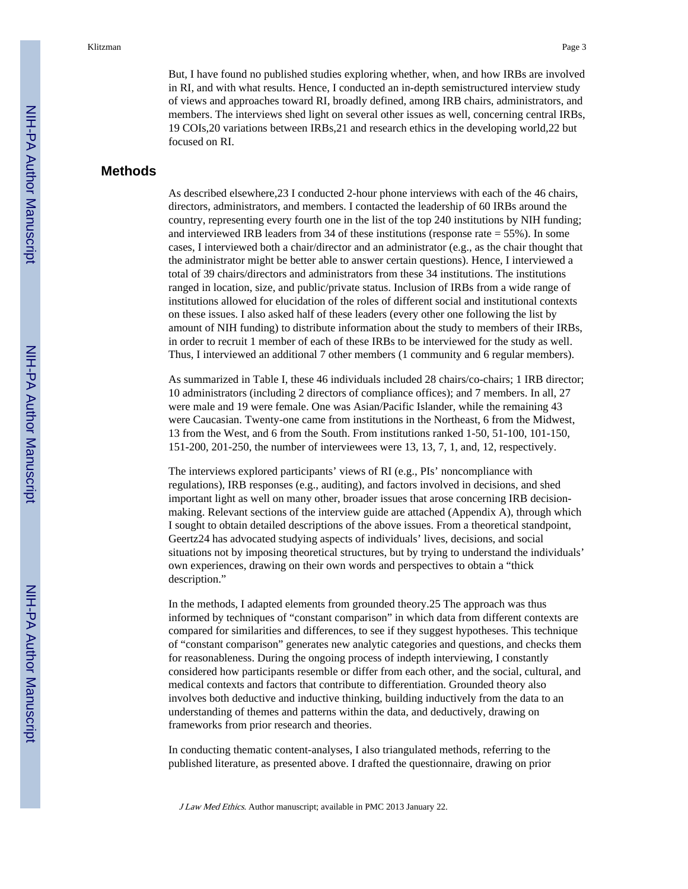But, I have found no published studies exploring whether, when, and how IRBs are involved in RI, and with what results. Hence, I conducted an in-depth semistructured interview study of views and approaches toward RI, broadly defined, among IRB chairs, administrators, and members. The interviews shed light on several other issues as well, concerning central IRBs, 19 COIs,20 variations between IRBs,21 and research ethics in the developing world,22 but focused on RI.

## **Methods**

As described elsewhere,23 I conducted 2-hour phone interviews with each of the 46 chairs, directors, administrators, and members. I contacted the leadership of 60 IRBs around the country, representing every fourth one in the list of the top 240 institutions by NIH funding; and interviewed IRB leaders from 34 of these institutions (response rate  $= 55\%$ ). In some cases, I interviewed both a chair/director and an administrator (e.g., as the chair thought that the administrator might be better able to answer certain questions). Hence, I interviewed a total of 39 chairs/directors and administrators from these 34 institutions. The institutions ranged in location, size, and public/private status. Inclusion of IRBs from a wide range of institutions allowed for elucidation of the roles of different social and institutional contexts on these issues. I also asked half of these leaders (every other one following the list by amount of NIH funding) to distribute information about the study to members of their IRBs, in order to recruit 1 member of each of these IRBs to be interviewed for the study as well. Thus, I interviewed an additional 7 other members (1 community and 6 regular members).

As summarized in Table I, these 46 individuals included 28 chairs/co-chairs; 1 IRB director; 10 administrators (including 2 directors of compliance offices); and 7 members. In all, 27 were male and 19 were female. One was Asian/Pacific Islander, while the remaining 43 were Caucasian. Twenty-one came from institutions in the Northeast, 6 from the Midwest, 13 from the West, and 6 from the South. From institutions ranked 1-50, 51-100, 101-150, 151-200, 201-250, the number of interviewees were 13, 13, 7, 1, and, 12, respectively.

The interviews explored participants' views of RI (e.g., PIs' noncompliance with regulations), IRB responses (e.g., auditing), and factors involved in decisions, and shed important light as well on many other, broader issues that arose concerning IRB decisionmaking. Relevant sections of the interview guide are attached (Appendix A), through which I sought to obtain detailed descriptions of the above issues. From a theoretical standpoint, Geertz24 has advocated studying aspects of individuals' lives, decisions, and social situations not by imposing theoretical structures, but by trying to understand the individuals' own experiences, drawing on their own words and perspectives to obtain a "thick description."

In the methods, I adapted elements from grounded theory.25 The approach was thus informed by techniques of "constant comparison" in which data from different contexts are compared for similarities and differences, to see if they suggest hypotheses. This technique of "constant comparison" generates new analytic categories and questions, and checks them for reasonableness. During the ongoing process of indepth interviewing, I constantly considered how participants resemble or differ from each other, and the social, cultural, and medical contexts and factors that contribute to differentiation. Grounded theory also involves both deductive and inductive thinking, building inductively from the data to an understanding of themes and patterns within the data, and deductively, drawing on frameworks from prior research and theories.

In conducting thematic content-analyses, I also triangulated methods, referring to the published literature, as presented above. I drafted the questionnaire, drawing on prior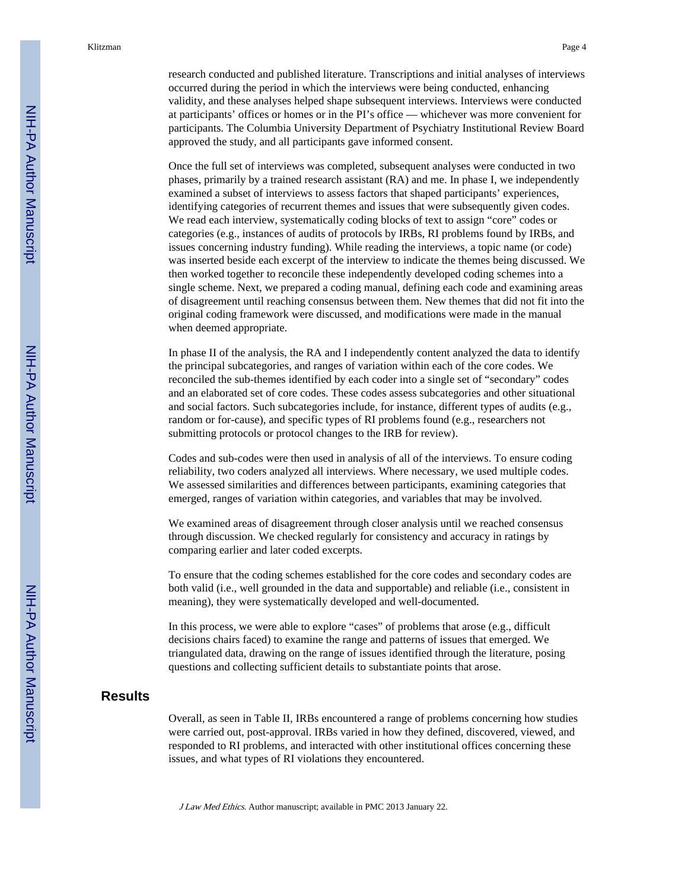research conducted and published literature. Transcriptions and initial analyses of interviews occurred during the period in which the interviews were being conducted, enhancing validity, and these analyses helped shape subsequent interviews. Interviews were conducted at participants' offices or homes or in the PI's office — whichever was more convenient for participants. The Columbia University Department of Psychiatry Institutional Review Board approved the study, and all participants gave informed consent.

Once the full set of interviews was completed, subsequent analyses were conducted in two phases, primarily by a trained research assistant (RA) and me. In phase I, we independently examined a subset of interviews to assess factors that shaped participants' experiences, identifying categories of recurrent themes and issues that were subsequently given codes. We read each interview, systematically coding blocks of text to assign "core" codes or categories (e.g., instances of audits of protocols by IRBs, RI problems found by IRBs, and issues concerning industry funding). While reading the interviews, a topic name (or code) was inserted beside each excerpt of the interview to indicate the themes being discussed. We then worked together to reconcile these independently developed coding schemes into a single scheme. Next, we prepared a coding manual, defining each code and examining areas of disagreement until reaching consensus between them. New themes that did not fit into the original coding framework were discussed, and modifications were made in the manual when deemed appropriate.

In phase II of the analysis, the RA and I independently content analyzed the data to identify the principal subcategories, and ranges of variation within each of the core codes. We reconciled the sub-themes identified by each coder into a single set of "secondary" codes and an elaborated set of core codes. These codes assess subcategories and other situational and social factors. Such subcategories include, for instance, different types of audits (e.g., random or for-cause), and specific types of RI problems found (e.g., researchers not submitting protocols or protocol changes to the IRB for review).

Codes and sub-codes were then used in analysis of all of the interviews. To ensure coding reliability, two coders analyzed all interviews. Where necessary, we used multiple codes. We assessed similarities and differences between participants, examining categories that emerged, ranges of variation within categories, and variables that may be involved.

We examined areas of disagreement through closer analysis until we reached consensus through discussion. We checked regularly for consistency and accuracy in ratings by comparing earlier and later coded excerpts.

To ensure that the coding schemes established for the core codes and secondary codes are both valid (i.e., well grounded in the data and supportable) and reliable (i.e., consistent in meaning), they were systematically developed and well-documented.

In this process, we were able to explore "cases" of problems that arose (e.g., difficult decisions chairs faced) to examine the range and patterns of issues that emerged. We triangulated data, drawing on the range of issues identified through the literature, posing questions and collecting sufficient details to substantiate points that arose.

## **Results**

Overall, as seen in Table II, IRBs encountered a range of problems concerning how studies were carried out, post-approval. IRBs varied in how they defined, discovered, viewed, and responded to RI problems, and interacted with other institutional offices concerning these issues, and what types of RI violations they encountered.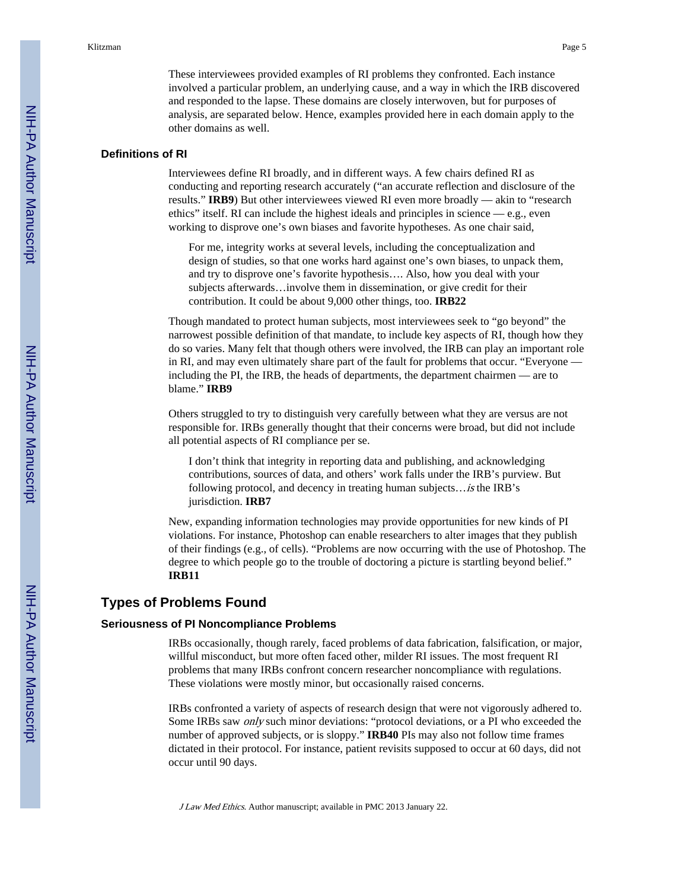These interviewees provided examples of RI problems they confronted. Each instance involved a particular problem, an underlying cause, and a way in which the IRB discovered and responded to the lapse. These domains are closely interwoven, but for purposes of analysis, are separated below. Hence, examples provided here in each domain apply to the other domains as well.

### **Definitions of RI**

Interviewees define RI broadly, and in different ways. A few chairs defined RI as conducting and reporting research accurately ("an accurate reflection and disclosure of the results." **IRB9**) But other interviewees viewed RI even more broadly — akin to "research ethics" itself. RI can include the highest ideals and principles in science  $-$  e.g., even working to disprove one's own biases and favorite hypotheses. As one chair said,

For me, integrity works at several levels, including the conceptualization and design of studies, so that one works hard against one's own biases, to unpack them, and try to disprove one's favorite hypothesis…. Also, how you deal with your subjects afterwards…involve them in dissemination, or give credit for their contribution. It could be about 9,000 other things, too. **IRB22**

Though mandated to protect human subjects, most interviewees seek to "go beyond" the narrowest possible definition of that mandate, to include key aspects of RI, though how they do so varies. Many felt that though others were involved, the IRB can play an important role in RI, and may even ultimately share part of the fault for problems that occur. "Everyone including the PI, the IRB, the heads of departments, the department chairmen — are to blame." **IRB9**

Others struggled to try to distinguish very carefully between what they are versus are not responsible for. IRBs generally thought that their concerns were broad, but did not include all potential aspects of RI compliance per se.

I don't think that integrity in reporting data and publishing, and acknowledging contributions, sources of data, and others' work falls under the IRB's purview. But following protocol, and decency in treating human subjects...is the IRB's jurisdiction. **IRB7**

New, expanding information technologies may provide opportunities for new kinds of PI violations. For instance, Photoshop can enable researchers to alter images that they publish of their findings (e.g., of cells). "Problems are now occurring with the use of Photoshop. The degree to which people go to the trouble of doctoring a picture is startling beyond belief." **IRB11**

## **Types of Problems Found**

#### **Seriousness of PI Noncompliance Problems**

IRBs occasionally, though rarely, faced problems of data fabrication, falsification, or major, willful misconduct, but more often faced other, milder RI issues. The most frequent RI problems that many IRBs confront concern researcher noncompliance with regulations. These violations were mostly minor, but occasionally raised concerns.

IRBs confronted a variety of aspects of research design that were not vigorously adhered to. Some IRBs saw only such minor deviations: "protocol deviations, or a PI who exceeded the number of approved subjects, or is sloppy." **IRB40** PIs may also not follow time frames dictated in their protocol. For instance, patient revisits supposed to occur at 60 days, did not occur until 90 days.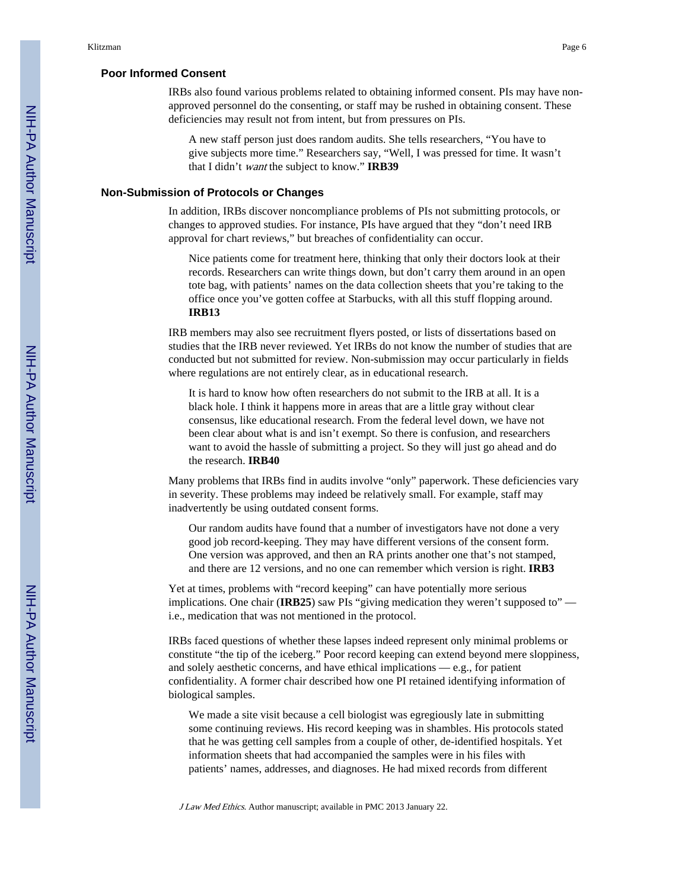## **Poor Informed Consent**

IRBs also found various problems related to obtaining informed consent. PIs may have nonapproved personnel do the consenting, or staff may be rushed in obtaining consent. These deficiencies may result not from intent, but from pressures on PIs.

A new staff person just does random audits. She tells researchers, "You have to give subjects more time." Researchers say, "Well, I was pressed for time. It wasn't that I didn't want the subject to know." **IRB39**

#### **Non-Submission of Protocols or Changes**

In addition, IRBs discover noncompliance problems of PIs not submitting protocols, or changes to approved studies. For instance, PIs have argued that they "don't need IRB approval for chart reviews," but breaches of confidentiality can occur.

Nice patients come for treatment here, thinking that only their doctors look at their records. Researchers can write things down, but don't carry them around in an open tote bag, with patients' names on the data collection sheets that you're taking to the office once you've gotten coffee at Starbucks, with all this stuff flopping around. **IRB13**

IRB members may also see recruitment flyers posted, or lists of dissertations based on studies that the IRB never reviewed. Yet IRBs do not know the number of studies that are conducted but not submitted for review. Non-submission may occur particularly in fields where regulations are not entirely clear, as in educational research.

It is hard to know how often researchers do not submit to the IRB at all. It is a black hole. I think it happens more in areas that are a little gray without clear consensus, like educational research. From the federal level down, we have not been clear about what is and isn't exempt. So there is confusion, and researchers want to avoid the hassle of submitting a project. So they will just go ahead and do the research. **IRB40**

Many problems that IRBs find in audits involve "only" paperwork. These deficiencies vary in severity. These problems may indeed be relatively small. For example, staff may inadvertently be using outdated consent forms.

Our random audits have found that a number of investigators have not done a very good job record-keeping. They may have different versions of the consent form. One version was approved, and then an RA prints another one that's not stamped, and there are 12 versions, and no one can remember which version is right. **IRB3**

Yet at times, problems with "record keeping" can have potentially more serious implications. One chair (**IRB25**) saw PIs "giving medication they weren't supposed to" i.e., medication that was not mentioned in the protocol.

IRBs faced questions of whether these lapses indeed represent only minimal problems or constitute "the tip of the iceberg." Poor record keeping can extend beyond mere sloppiness, and solely aesthetic concerns, and have ethical implications — e.g., for patient confidentiality. A former chair described how one PI retained identifying information of biological samples.

We made a site visit because a cell biologist was egregiously late in submitting some continuing reviews. His record keeping was in shambles. His protocols stated that he was getting cell samples from a couple of other, de-identified hospitals. Yet information sheets that had accompanied the samples were in his files with patients' names, addresses, and diagnoses. He had mixed records from different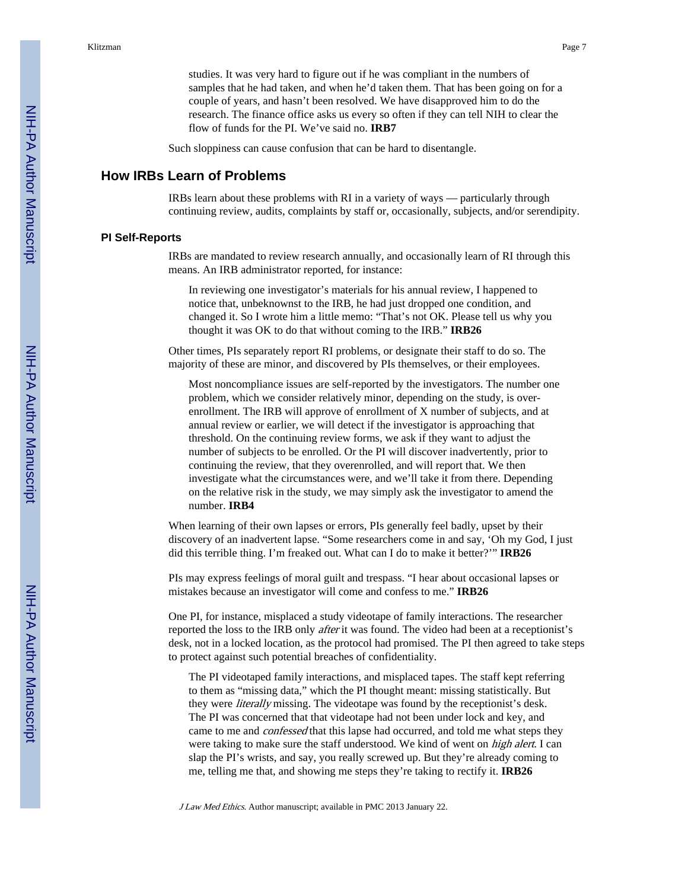studies. It was very hard to figure out if he was compliant in the numbers of samples that he had taken, and when he'd taken them. That has been going on for a couple of years, and hasn't been resolved. We have disapproved him to do the research. The finance office asks us every so often if they can tell NIH to clear the flow of funds for the PI. We've said no. **IRB7**

Such sloppiness can cause confusion that can be hard to disentangle.

## **How IRBs Learn of Problems**

IRBs learn about these problems with RI in a variety of ways — particularly through continuing review, audits, complaints by staff or, occasionally, subjects, and/or serendipity.

## **PI Self-Reports**

IRBs are mandated to review research annually, and occasionally learn of RI through this means. An IRB administrator reported, for instance:

In reviewing one investigator's materials for his annual review, I happened to notice that, unbeknownst to the IRB, he had just dropped one condition, and changed it. So I wrote him a little memo: "That's not OK. Please tell us why you thought it was OK to do that without coming to the IRB." **IRB26**

Other times, PIs separately report RI problems, or designate their staff to do so. The majority of these are minor, and discovered by PIs themselves, or their employees.

Most noncompliance issues are self-reported by the investigators. The number one problem, which we consider relatively minor, depending on the study, is overenrollment. The IRB will approve of enrollment of X number of subjects, and at annual review or earlier, we will detect if the investigator is approaching that threshold. On the continuing review forms, we ask if they want to adjust the number of subjects to be enrolled. Or the PI will discover inadvertently, prior to continuing the review, that they overenrolled, and will report that. We then investigate what the circumstances were, and we'll take it from there. Depending on the relative risk in the study, we may simply ask the investigator to amend the number. **IRB4**

When learning of their own lapses or errors, PIs generally feel badly, upset by their discovery of an inadvertent lapse. "Some researchers come in and say, 'Oh my God, I just did this terrible thing. I'm freaked out. What can I do to make it better?'" **IRB26**

PIs may express feelings of moral guilt and trespass. "I hear about occasional lapses or mistakes because an investigator will come and confess to me." **IRB26**

One PI, for instance, misplaced a study videotape of family interactions. The researcher reported the loss to the IRB only *after* it was found. The video had been at a receptionist's desk, not in a locked location, as the protocol had promised. The PI then agreed to take steps to protect against such potential breaches of confidentiality.

The PI videotaped family interactions, and misplaced tapes. The staff kept referring to them as "missing data," which the PI thought meant: missing statistically. But they were literally missing. The videotape was found by the receptionist's desk. The PI was concerned that that videotape had not been under lock and key, and came to me and *confessed* that this lapse had occurred, and told me what steps they were taking to make sure the staff understood. We kind of went on *high alert*. I can slap the PI's wrists, and say, you really screwed up. But they're already coming to me, telling me that, and showing me steps they're taking to rectify it. **IRB26**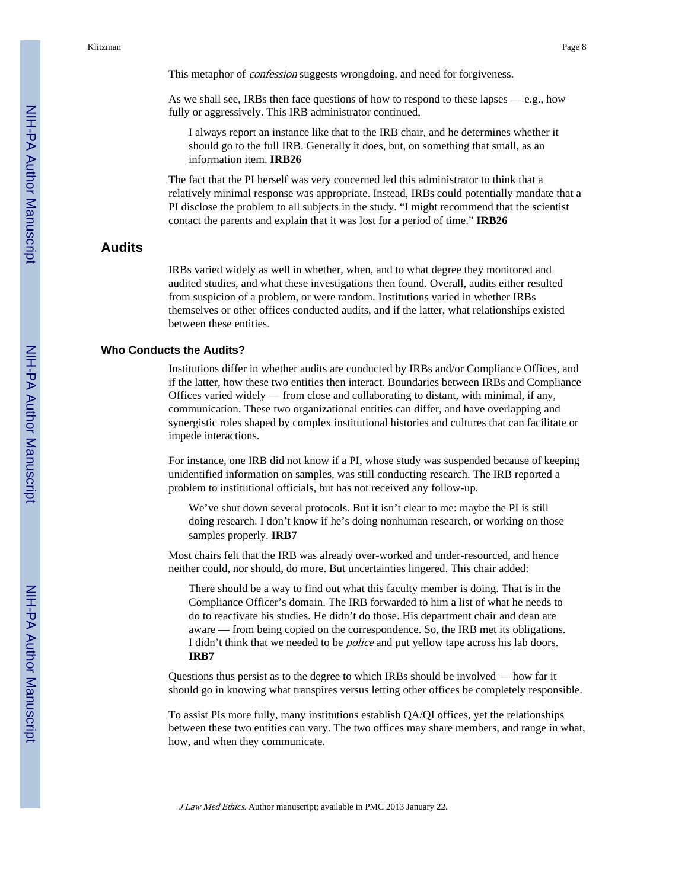This metaphor of *confession* suggests wrongdoing, and need for forgiveness.

As we shall see, IRBs then face questions of how to respond to these lapses — e.g., how fully or aggressively. This IRB administrator continued,

I always report an instance like that to the IRB chair, and he determines whether it should go to the full IRB. Generally it does, but, on something that small, as an information item. **IRB26**

The fact that the PI herself was very concerned led this administrator to think that a relatively minimal response was appropriate. Instead, IRBs could potentially mandate that a PI disclose the problem to all subjects in the study. "I might recommend that the scientist contact the parents and explain that it was lost for a period of time." **IRB26**

## **Audits**

IRBs varied widely as well in whether, when, and to what degree they monitored and audited studies, and what these investigations then found. Overall, audits either resulted from suspicion of a problem, or were random. Institutions varied in whether IRBs themselves or other offices conducted audits, and if the latter, what relationships existed between these entities.

#### **Who Conducts the Audits?**

Institutions differ in whether audits are conducted by IRBs and/or Compliance Offices, and if the latter, how these two entities then interact. Boundaries between IRBs and Compliance Offices varied widely — from close and collaborating to distant, with minimal, if any, communication. These two organizational entities can differ, and have overlapping and synergistic roles shaped by complex institutional histories and cultures that can facilitate or impede interactions.

For instance, one IRB did not know if a PI, whose study was suspended because of keeping unidentified information on samples, was still conducting research. The IRB reported a problem to institutional officials, but has not received any follow-up.

We've shut down several protocols. But it isn't clear to me: maybe the PI is still doing research. I don't know if he's doing nonhuman research, or working on those samples properly. **IRB7**

Most chairs felt that the IRB was already over-worked and under-resourced, and hence neither could, nor should, do more. But uncertainties lingered. This chair added:

There should be a way to find out what this faculty member is doing. That is in the Compliance Officer's domain. The IRB forwarded to him a list of what he needs to do to reactivate his studies. He didn't do those. His department chair and dean are aware — from being copied on the correspondence. So, the IRB met its obligations. I didn't think that we needed to be *police* and put yellow tape across his lab doors. **IRB7**

Questions thus persist as to the degree to which IRBs should be involved — how far it should go in knowing what transpires versus letting other offices be completely responsible.

To assist PIs more fully, many institutions establish QA/QI offices, yet the relationships between these two entities can vary. The two offices may share members, and range in what, how, and when they communicate.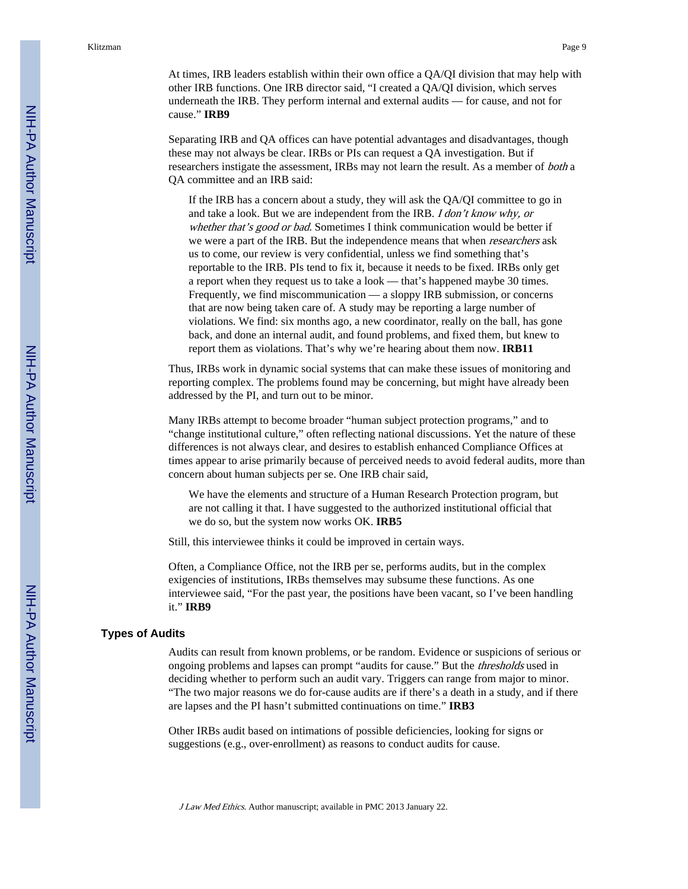At times, IRB leaders establish within their own office a QA/QI division that may help with other IRB functions. One IRB director said, "I created a QA/QI division, which serves underneath the IRB. They perform internal and external audits — for cause, and not for cause." **IRB9**

Separating IRB and QA offices can have potential advantages and disadvantages, though these may not always be clear. IRBs or PIs can request a QA investigation. But if researchers instigate the assessment, IRBs may not learn the result. As a member of both a QA committee and an IRB said:

If the IRB has a concern about a study, they will ask the QA/QI committee to go in and take a look. But we are independent from the IRB. I don't know why, or whether that's good or bad. Sometimes I think communication would be better if we were a part of the IRB. But the independence means that when researchers ask us to come, our review is very confidential, unless we find something that's reportable to the IRB. PIs tend to fix it, because it needs to be fixed. IRBs only get a report when they request us to take a look — that's happened maybe 30 times. Frequently, we find miscommunication — a sloppy IRB submission, or concerns that are now being taken care of. A study may be reporting a large number of violations. We find: six months ago, a new coordinator, really on the ball, has gone back, and done an internal audit, and found problems, and fixed them, but knew to report them as violations. That's why we're hearing about them now. **IRB11**

Thus, IRBs work in dynamic social systems that can make these issues of monitoring and reporting complex. The problems found may be concerning, but might have already been addressed by the PI, and turn out to be minor.

Many IRBs attempt to become broader "human subject protection programs," and to "change institutional culture," often reflecting national discussions. Yet the nature of these differences is not always clear, and desires to establish enhanced Compliance Offices at times appear to arise primarily because of perceived needs to avoid federal audits, more than concern about human subjects per se. One IRB chair said,

We have the elements and structure of a Human Research Protection program, but are not calling it that. I have suggested to the authorized institutional official that we do so, but the system now works OK. **IRB5**

Still, this interviewee thinks it could be improved in certain ways.

Often, a Compliance Office, not the IRB per se, performs audits, but in the complex exigencies of institutions, IRBs themselves may subsume these functions. As one interviewee said, "For the past year, the positions have been vacant, so I've been handling it." **IRB9**

#### **Types of Audits**

Audits can result from known problems, or be random. Evidence or suspicions of serious or ongoing problems and lapses can prompt "audits for cause." But the thresholds used in deciding whether to perform such an audit vary. Triggers can range from major to minor. "The two major reasons we do for-cause audits are if there's a death in a study, and if there are lapses and the PI hasn't submitted continuations on time." **IRB3**

Other IRBs audit based on intimations of possible deficiencies, looking for signs or suggestions (e.g., over-enrollment) as reasons to conduct audits for cause.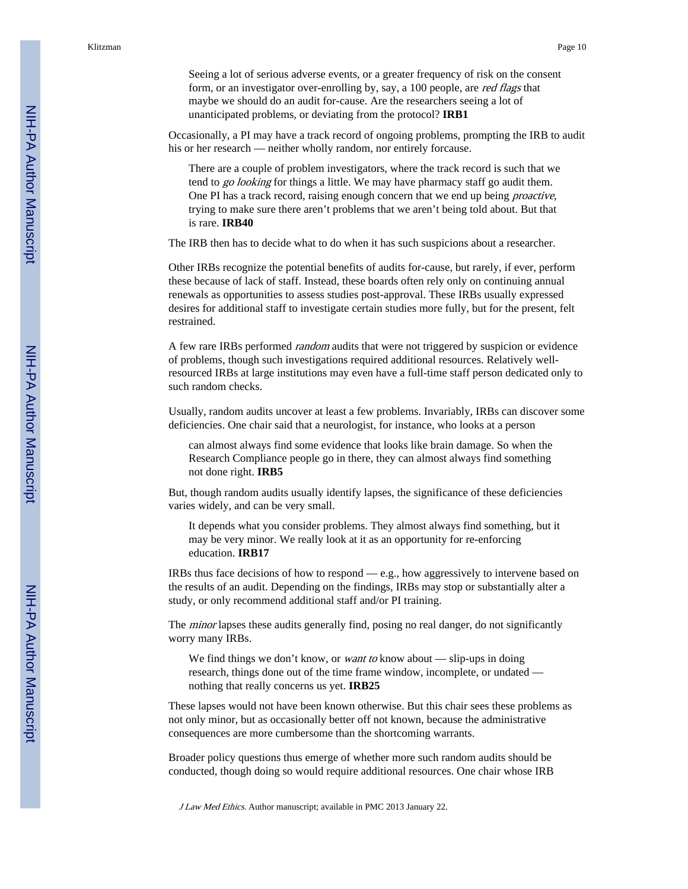Seeing a lot of serious adverse events, or a greater frequency of risk on the consent form, or an investigator over-enrolling by, say, a 100 people, are red flags that maybe we should do an audit for-cause. Are the researchers seeing a lot of unanticipated problems, or deviating from the protocol? **IRB1**

Occasionally, a PI may have a track record of ongoing problems, prompting the IRB to audit his or her research — neither wholly random, nor entirely forcause.

There are a couple of problem investigators, where the track record is such that we tend to *go looking* for things a little. We may have pharmacy staff go audit them. One PI has a track record, raising enough concern that we end up being proactive, trying to make sure there aren't problems that we aren't being told about. But that is rare. **IRB40**

The IRB then has to decide what to do when it has such suspicions about a researcher.

Other IRBs recognize the potential benefits of audits for-cause, but rarely, if ever, perform these because of lack of staff. Instead, these boards often rely only on continuing annual renewals as opportunities to assess studies post-approval. These IRBs usually expressed desires for additional staff to investigate certain studies more fully, but for the present, felt restrained.

A few rare IRBs performed random audits that were not triggered by suspicion or evidence of problems, though such investigations required additional resources. Relatively wellresourced IRBs at large institutions may even have a full-time staff person dedicated only to such random checks.

Usually, random audits uncover at least a few problems. Invariably, IRBs can discover some deficiencies. One chair said that a neurologist, for instance, who looks at a person

can almost always find some evidence that looks like brain damage. So when the Research Compliance people go in there, they can almost always find something not done right. **IRB5**

But, though random audits usually identify lapses, the significance of these deficiencies varies widely, and can be very small.

It depends what you consider problems. They almost always find something, but it may be very minor. We really look at it as an opportunity for re-enforcing education. **IRB17**

IRBs thus face decisions of how to respond — e.g., how aggressively to intervene based on the results of an audit. Depending on the findings, IRBs may stop or substantially alter a study, or only recommend additional staff and/or PI training.

The *minor* lapses these audits generally find, posing no real danger, do not significantly worry many IRBs.

We find things we don't know, or want to know about — slip-ups in doing research, things done out of the time frame window, incomplete, or undated nothing that really concerns us yet. **IRB25**

These lapses would not have been known otherwise. But this chair sees these problems as not only minor, but as occasionally better off not known, because the administrative consequences are more cumbersome than the shortcoming warrants.

Broader policy questions thus emerge of whether more such random audits should be conducted, though doing so would require additional resources. One chair whose IRB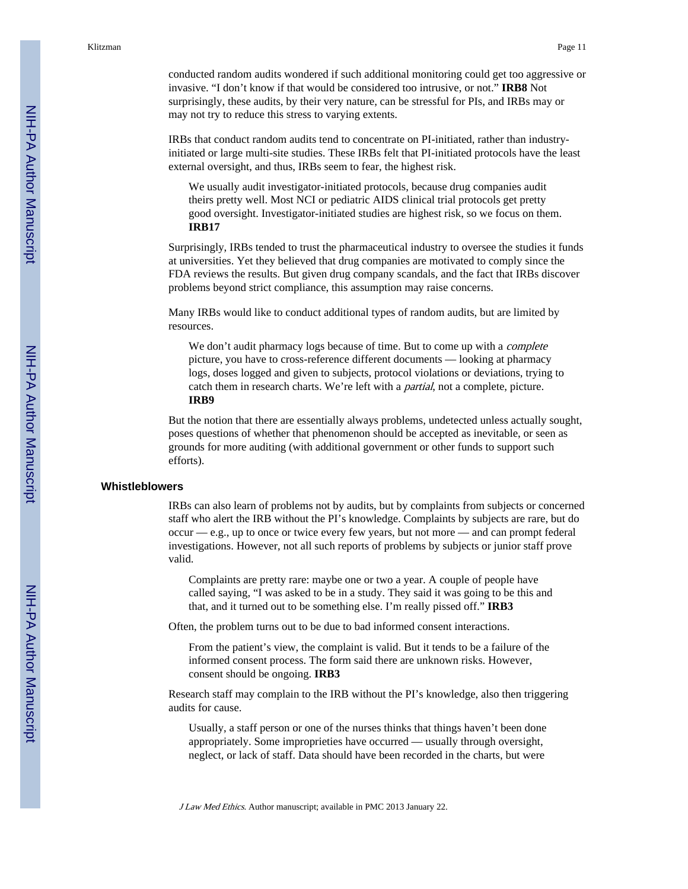conducted random audits wondered if such additional monitoring could get too aggressive or invasive. "I don't know if that would be considered too intrusive, or not." **IRB8** Not surprisingly, these audits, by their very nature, can be stressful for PIs, and IRBs may or may not try to reduce this stress to varying extents.

IRBs that conduct random audits tend to concentrate on PI-initiated, rather than industryinitiated or large multi-site studies. These IRBs felt that PI-initiated protocols have the least external oversight, and thus, IRBs seem to fear, the highest risk.

We usually audit investigator-initiated protocols, because drug companies audit theirs pretty well. Most NCI or pediatric AIDS clinical trial protocols get pretty good oversight. Investigator-initiated studies are highest risk, so we focus on them. **IRB17**

Surprisingly, IRBs tended to trust the pharmaceutical industry to oversee the studies it funds at universities. Yet they believed that drug companies are motivated to comply since the FDA reviews the results. But given drug company scandals, and the fact that IRBs discover problems beyond strict compliance, this assumption may raise concerns.

Many IRBs would like to conduct additional types of random audits, but are limited by resources.

We don't audit pharmacy logs because of time. But to come up with a *complete* picture, you have to cross-reference different documents — looking at pharmacy logs, doses logged and given to subjects, protocol violations or deviations, trying to catch them in research charts. We're left with a partial, not a complete, picture. **IRB9**

But the notion that there are essentially always problems, undetected unless actually sought, poses questions of whether that phenomenon should be accepted as inevitable, or seen as grounds for more auditing (with additional government or other funds to support such efforts).

### **Whistleblowers**

IRBs can also learn of problems not by audits, but by complaints from subjects or concerned staff who alert the IRB without the PI's knowledge. Complaints by subjects are rare, but do occur — e.g., up to once or twice every few years, but not more — and can prompt federal investigations. However, not all such reports of problems by subjects or junior staff prove valid.

Complaints are pretty rare: maybe one or two a year. A couple of people have called saying, "I was asked to be in a study. They said it was going to be this and that, and it turned out to be something else. I'm really pissed off." **IRB3**

Often, the problem turns out to be due to bad informed consent interactions.

From the patient's view, the complaint is valid. But it tends to be a failure of the informed consent process. The form said there are unknown risks. However, consent should be ongoing. **IRB3**

Research staff may complain to the IRB without the PI's knowledge, also then triggering audits for cause.

Usually, a staff person or one of the nurses thinks that things haven't been done appropriately. Some improprieties have occurred — usually through oversight, neglect, or lack of staff. Data should have been recorded in the charts, but were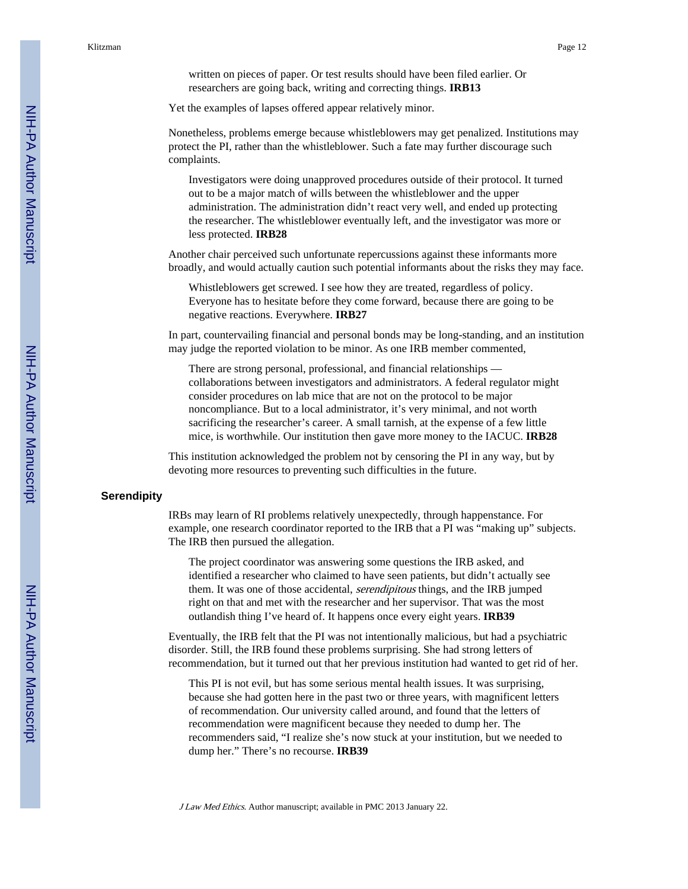written on pieces of paper. Or test results should have been filed earlier. Or researchers are going back, writing and correcting things. **IRB13**

Yet the examples of lapses offered appear relatively minor.

Nonetheless, problems emerge because whistleblowers may get penalized. Institutions may protect the PI, rather than the whistleblower. Such a fate may further discourage such complaints.

Investigators were doing unapproved procedures outside of their protocol. It turned out to be a major match of wills between the whistleblower and the upper administration. The administration didn't react very well, and ended up protecting the researcher. The whistleblower eventually left, and the investigator was more or less protected. **IRB28**

Another chair perceived such unfortunate repercussions against these informants more broadly, and would actually caution such potential informants about the risks they may face.

Whistleblowers get screwed. I see how they are treated, regardless of policy. Everyone has to hesitate before they come forward, because there are going to be negative reactions. Everywhere. **IRB27**

In part, countervailing financial and personal bonds may be long-standing, and an institution may judge the reported violation to be minor. As one IRB member commented,

There are strong personal, professional, and financial relationships collaborations between investigators and administrators. A federal regulator might consider procedures on lab mice that are not on the protocol to be major noncompliance. But to a local administrator, it's very minimal, and not worth sacrificing the researcher's career. A small tarnish, at the expense of a few little mice, is worthwhile. Our institution then gave more money to the IACUC. **IRB28**

This institution acknowledged the problem not by censoring the PI in any way, but by devoting more resources to preventing such difficulties in the future.

## **Serendipity**

IRBs may learn of RI problems relatively unexpectedly, through happenstance. For example, one research coordinator reported to the IRB that a PI was "making up" subjects. The IRB then pursued the allegation.

The project coordinator was answering some questions the IRB asked, and identified a researcher who claimed to have seen patients, but didn't actually see them. It was one of those accidental, serendipitous things, and the IRB jumped right on that and met with the researcher and her supervisor. That was the most outlandish thing I've heard of. It happens once every eight years. **IRB39**

Eventually, the IRB felt that the PI was not intentionally malicious, but had a psychiatric disorder. Still, the IRB found these problems surprising. She had strong letters of recommendation, but it turned out that her previous institution had wanted to get rid of her.

This PI is not evil, but has some serious mental health issues. It was surprising, because she had gotten here in the past two or three years, with magnificent letters of recommendation. Our university called around, and found that the letters of recommendation were magnificent because they needed to dump her. The recommenders said, "I realize she's now stuck at your institution, but we needed to dump her." There's no recourse. **IRB39**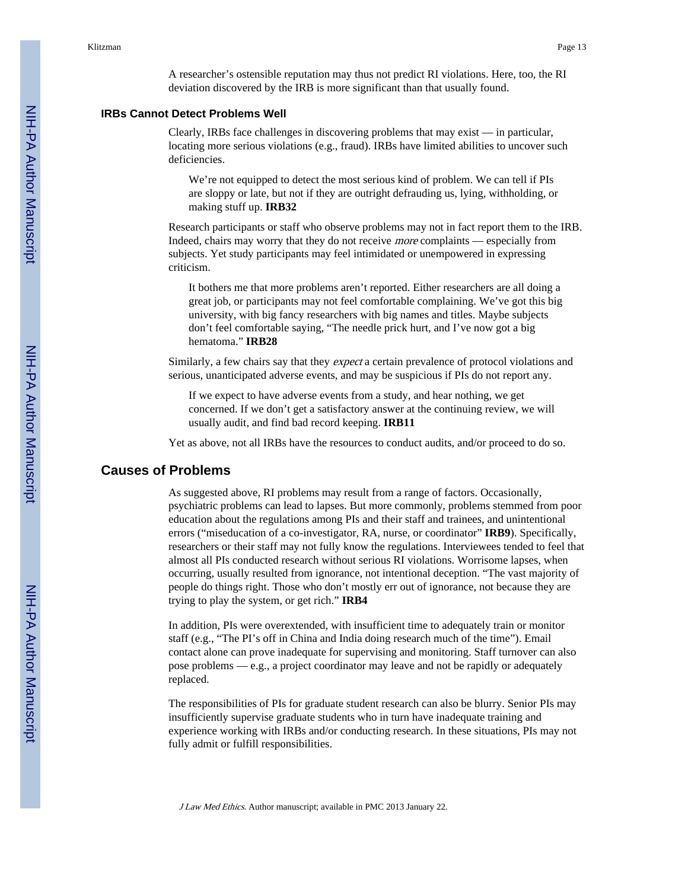A researcher's ostensible reputation may thus not predict RI violations. Here, too, the RI deviation discovered by the IRB is more significant than that usually found.

## **IRBs Cannot Detect Problems Well**

Clearly, IRBs face challenges in discovering problems that may exist — in particular, locating more serious violations (e.g., fraud). IRBs have limited abilities to uncover such deficiencies.

We're not equipped to detect the most serious kind of problem. We can tell if PIs are sloppy or late, but not if they are outright defrauding us, lying, withholding, or making stuff up. **IRB32**

Research participants or staff who observe problems may not in fact report them to the IRB. Indeed, chairs may worry that they do not receive more complaints — especially from subjects. Yet study participants may feel intimidated or unempowered in expressing criticism.

It bothers me that more problems aren't reported. Either researchers are all doing a great job, or participants may not feel comfortable complaining. We've got this big university, with big fancy researchers with big names and titles. Maybe subjects don't feel comfortable saying, "The needle prick hurt, and I've now got a big hematoma." **IRB28**

Similarly, a few chairs say that they *expect* a certain prevalence of protocol violations and serious, unanticipated adverse events, and may be suspicious if PIs do not report any.

If we expect to have adverse events from a study, and hear nothing, we get concerned. If we don't get a satisfactory answer at the continuing review, we will usually audit, and find bad record keeping. **IRB11**

Yet as above, not all IRBs have the resources to conduct audits, and/or proceed to do so.

## **Causes of Problems**

As suggested above, RI problems may result from a range of factors. Occasionally, psychiatric problems can lead to lapses. But more commonly, problems stemmed from poor education about the regulations among PIs and their staff and trainees, and unintentional errors ("miseducation of a co-investigator, RA, nurse, or coordinator" **IRB9**). Specifically, researchers or their staff may not fully know the regulations. Interviewees tended to feel that almost all PIs conducted research without serious RI violations. Worrisome lapses, when occurring, usually resulted from ignorance, not intentional deception. "The vast majority of people do things right. Those who don't mostly err out of ignorance, not because they are trying to play the system, or get rich." **IRB4**

In addition, PIs were overextended, with insufficient time to adequately train or monitor staff (e.g., "The PI's off in China and India doing research much of the time"). Email contact alone can prove inadequate for supervising and monitoring. Staff turnover can also pose problems — e.g., a project coordinator may leave and not be rapidly or adequately replaced.

The responsibilities of PIs for graduate student research can also be blurry. Senior PIs may insufficiently supervise graduate students who in turn have inadequate training and experience working with IRBs and/or conducting research. In these situations, PIs may not fully admit or fulfill responsibilities.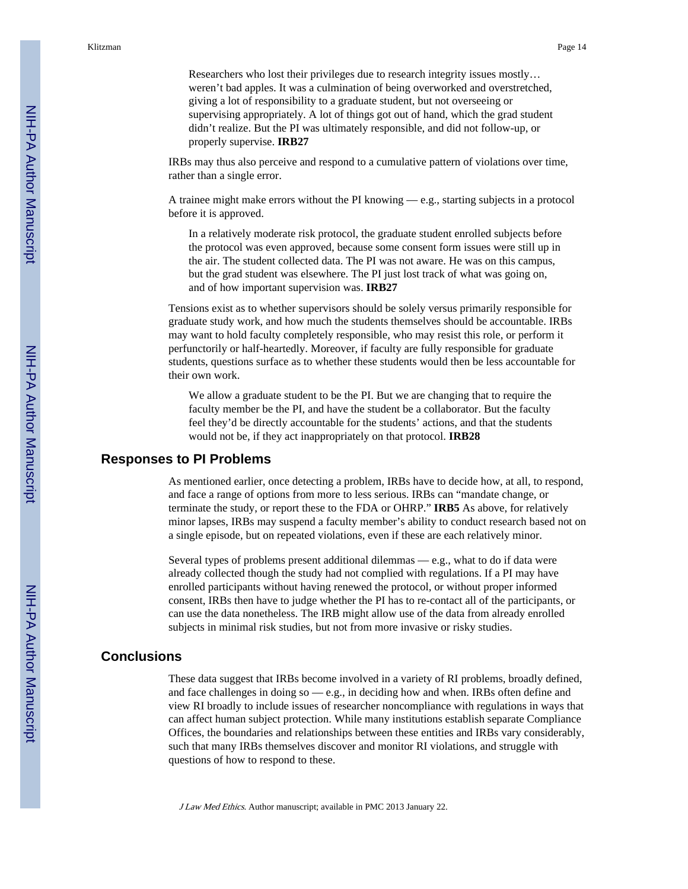Researchers who lost their privileges due to research integrity issues mostly… weren't bad apples. It was a culmination of being overworked and overstretched, giving a lot of responsibility to a graduate student, but not overseeing or supervising appropriately. A lot of things got out of hand, which the grad student didn't realize. But the PI was ultimately responsible, and did not follow-up, or properly supervise. **IRB27**

IRBs may thus also perceive and respond to a cumulative pattern of violations over time, rather than a single error.

A trainee might make errors without the PI knowing — e.g., starting subjects in a protocol before it is approved.

In a relatively moderate risk protocol, the graduate student enrolled subjects before the protocol was even approved, because some consent form issues were still up in the air. The student collected data. The PI was not aware. He was on this campus, but the grad student was elsewhere. The PI just lost track of what was going on, and of how important supervision was. **IRB27**

Tensions exist as to whether supervisors should be solely versus primarily responsible for graduate study work, and how much the students themselves should be accountable. IRBs may want to hold faculty completely responsible, who may resist this role, or perform it perfunctorily or half-heartedly. Moreover, if faculty are fully responsible for graduate students, questions surface as to whether these students would then be less accountable for their own work.

We allow a graduate student to be the PI. But we are changing that to require the faculty member be the PI, and have the student be a collaborator. But the faculty feel they'd be directly accountable for the students' actions, and that the students would not be, if they act inappropriately on that protocol. **IRB28**

## **Responses to PI Problems**

As mentioned earlier, once detecting a problem, IRBs have to decide how, at all, to respond, and face a range of options from more to less serious. IRBs can "mandate change, or terminate the study, or report these to the FDA or OHRP." **IRB5** As above, for relatively minor lapses, IRBs may suspend a faculty member's ability to conduct research based not on a single episode, but on repeated violations, even if these are each relatively minor.

Several types of problems present additional dilemmas — e.g., what to do if data were already collected though the study had not complied with regulations. If a PI may have enrolled participants without having renewed the protocol, or without proper informed consent, IRBs then have to judge whether the PI has to re-contact all of the participants, or can use the data nonetheless. The IRB might allow use of the data from already enrolled subjects in minimal risk studies, but not from more invasive or risky studies.

## **Conclusions**

These data suggest that IRBs become involved in a variety of RI problems, broadly defined, and face challenges in doing so — e.g., in deciding how and when. IRBs often define and view RI broadly to include issues of researcher noncompliance with regulations in ways that can affect human subject protection. While many institutions establish separate Compliance Offices, the boundaries and relationships between these entities and IRBs vary considerably, such that many IRBs themselves discover and monitor RI violations, and struggle with questions of how to respond to these.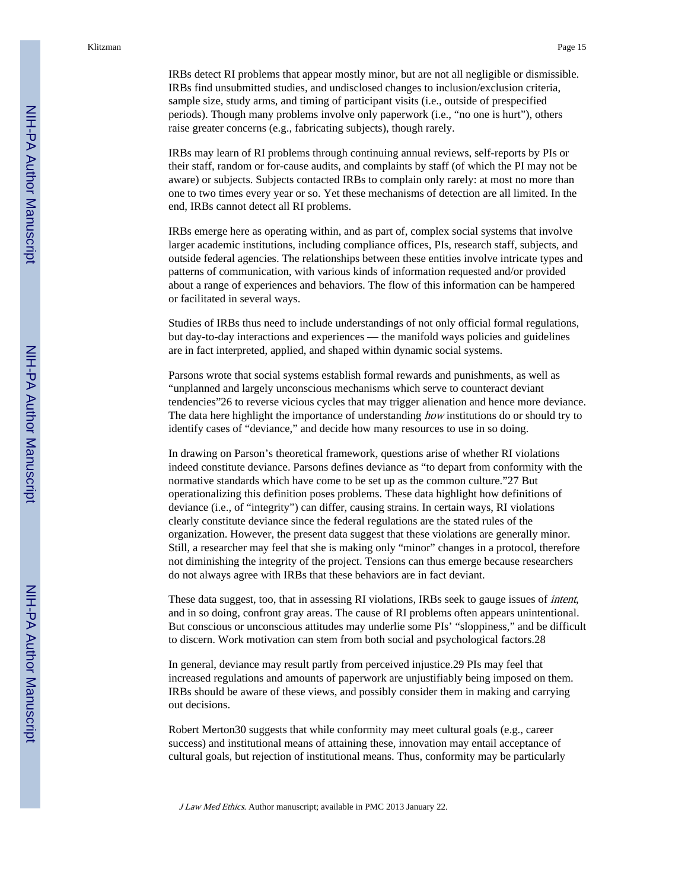IRBs detect RI problems that appear mostly minor, but are not all negligible or dismissible. IRBs find unsubmitted studies, and undisclosed changes to inclusion/exclusion criteria, sample size, study arms, and timing of participant visits (i.e., outside of prespecified periods). Though many problems involve only paperwork (i.e., "no one is hurt"), others raise greater concerns (e.g., fabricating subjects), though rarely.

IRBs may learn of RI problems through continuing annual reviews, self-reports by PIs or their staff, random or for-cause audits, and complaints by staff (of which the PI may not be aware) or subjects. Subjects contacted IRBs to complain only rarely: at most no more than one to two times every year or so. Yet these mechanisms of detection are all limited. In the end, IRBs cannot detect all RI problems.

IRBs emerge here as operating within, and as part of, complex social systems that involve larger academic institutions, including compliance offices, PIs, research staff, subjects, and outside federal agencies. The relationships between these entities involve intricate types and patterns of communication, with various kinds of information requested and/or provided about a range of experiences and behaviors. The flow of this information can be hampered or facilitated in several ways.

Studies of IRBs thus need to include understandings of not only official formal regulations, but day-to-day interactions and experiences — the manifold ways policies and guidelines are in fact interpreted, applied, and shaped within dynamic social systems.

Parsons wrote that social systems establish formal rewards and punishments, as well as "unplanned and largely unconscious mechanisms which serve to counteract deviant tendencies"26 to reverse vicious cycles that may trigger alienation and hence more deviance. The data here highlight the importance of understanding how institutions do or should try to identify cases of "deviance," and decide how many resources to use in so doing.

In drawing on Parson's theoretical framework, questions arise of whether RI violations indeed constitute deviance. Parsons defines deviance as "to depart from conformity with the normative standards which have come to be set up as the common culture."27 But operationalizing this definition poses problems. These data highlight how definitions of deviance (i.e., of "integrity") can differ, causing strains. In certain ways, RI violations clearly constitute deviance since the federal regulations are the stated rules of the organization. However, the present data suggest that these violations are generally minor. Still, a researcher may feel that she is making only "minor" changes in a protocol, therefore not diminishing the integrity of the project. Tensions can thus emerge because researchers do not always agree with IRBs that these behaviors are in fact deviant.

These data suggest, too, that in assessing RI violations, IRBs seek to gauge issues of intent, and in so doing, confront gray areas. The cause of RI problems often appears unintentional. But conscious or unconscious attitudes may underlie some PIs' "sloppiness," and be difficult to discern. Work motivation can stem from both social and psychological factors.28

In general, deviance may result partly from perceived injustice.29 PIs may feel that increased regulations and amounts of paperwork are unjustifiably being imposed on them. IRBs should be aware of these views, and possibly consider them in making and carrying out decisions.

Robert Merton30 suggests that while conformity may meet cultural goals (e.g., career success) and institutional means of attaining these, innovation may entail acceptance of cultural goals, but rejection of institutional means. Thus, conformity may be particularly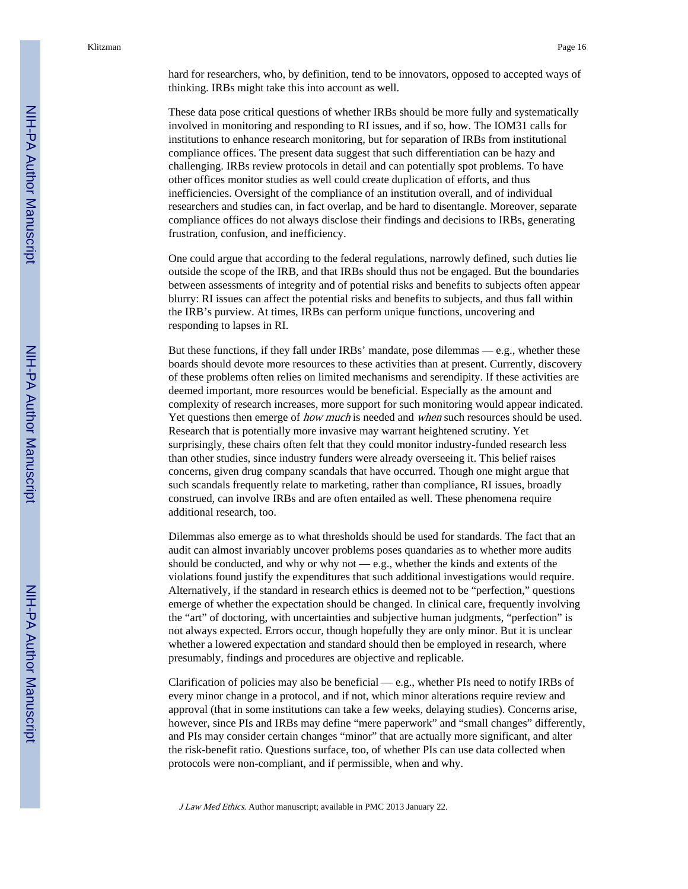hard for researchers, who, by definition, tend to be innovators, opposed to accepted ways of thinking. IRBs might take this into account as well.

These data pose critical questions of whether IRBs should be more fully and systematically involved in monitoring and responding to RI issues, and if so, how. The IOM31 calls for institutions to enhance research monitoring, but for separation of IRBs from institutional compliance offices. The present data suggest that such differentiation can be hazy and challenging. IRBs review protocols in detail and can potentially spot problems. To have other offices monitor studies as well could create duplication of efforts, and thus inefficiencies. Oversight of the compliance of an institution overall, and of individual researchers and studies can, in fact overlap, and be hard to disentangle. Moreover, separate compliance offices do not always disclose their findings and decisions to IRBs, generating frustration, confusion, and inefficiency.

One could argue that according to the federal regulations, narrowly defined, such duties lie outside the scope of the IRB, and that IRBs should thus not be engaged. But the boundaries between assessments of integrity and of potential risks and benefits to subjects often appear blurry: RI issues can affect the potential risks and benefits to subjects, and thus fall within the IRB's purview. At times, IRBs can perform unique functions, uncovering and responding to lapses in RI.

But these functions, if they fall under IRBs' mandate, pose dilemmas — e.g., whether these boards should devote more resources to these activities than at present. Currently, discovery of these problems often relies on limited mechanisms and serendipity. If these activities are deemed important, more resources would be beneficial. Especially as the amount and complexity of research increases, more support for such monitoring would appear indicated. Yet questions then emerge of how much is needed and when such resources should be used. Research that is potentially more invasive may warrant heightened scrutiny. Yet surprisingly, these chairs often felt that they could monitor industry-funded research less than other studies, since industry funders were already overseeing it. This belief raises concerns, given drug company scandals that have occurred. Though one might argue that such scandals frequently relate to marketing, rather than compliance, RI issues, broadly construed, can involve IRBs and are often entailed as well. These phenomena require additional research, too.

Dilemmas also emerge as to what thresholds should be used for standards. The fact that an audit can almost invariably uncover problems poses quandaries as to whether more audits should be conducted, and why or why not — e.g., whether the kinds and extents of the violations found justify the expenditures that such additional investigations would require. Alternatively, if the standard in research ethics is deemed not to be "perfection," questions emerge of whether the expectation should be changed. In clinical care, frequently involving the "art" of doctoring, with uncertainties and subjective human judgments, "perfection" is not always expected. Errors occur, though hopefully they are only minor. But it is unclear whether a lowered expectation and standard should then be employed in research, where presumably, findings and procedures are objective and replicable.

Clarification of policies may also be beneficial — e.g., whether PIs need to notify IRBs of every minor change in a protocol, and if not, which minor alterations require review and approval (that in some institutions can take a few weeks, delaying studies). Concerns arise, however, since PIs and IRBs may define "mere paperwork" and "small changes" differently, and PIs may consider certain changes "minor" that are actually more significant, and alter the risk-benefit ratio. Questions surface, too, of whether PIs can use data collected when protocols were non-compliant, and if permissible, when and why.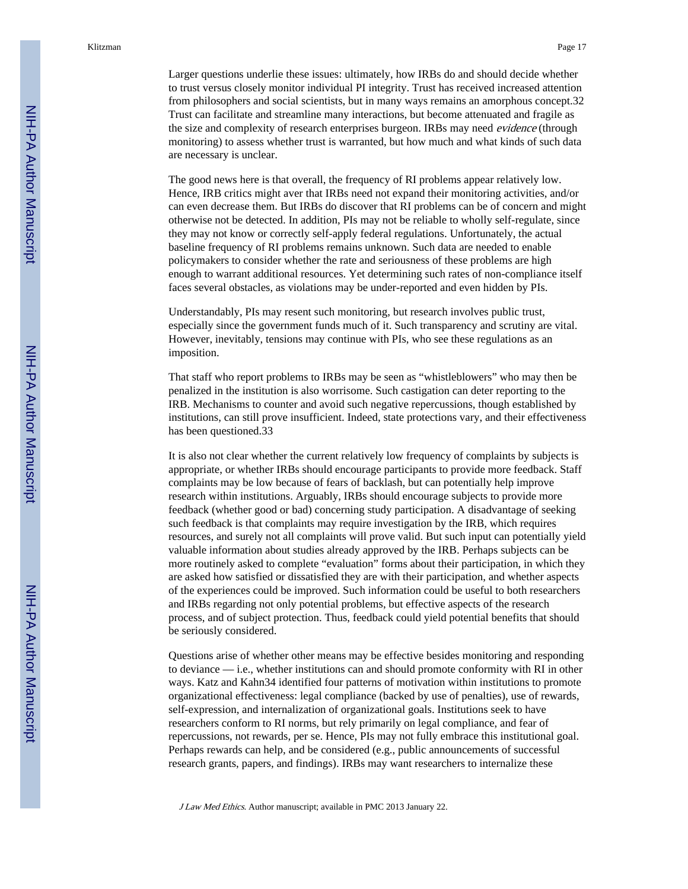Larger questions underlie these issues: ultimately, how IRBs do and should decide whether to trust versus closely monitor individual PI integrity. Trust has received increased attention from philosophers and social scientists, but in many ways remains an amorphous concept.32 Trust can facilitate and streamline many interactions, but become attenuated and fragile as the size and complexity of research enterprises burgeon. IRBs may need evidence (through monitoring) to assess whether trust is warranted, but how much and what kinds of such data are necessary is unclear.

The good news here is that overall, the frequency of RI problems appear relatively low. Hence, IRB critics might aver that IRBs need not expand their monitoring activities, and/or can even decrease them. But IRBs do discover that RI problems can be of concern and might otherwise not be detected. In addition, PIs may not be reliable to wholly self-regulate, since they may not know or correctly self-apply federal regulations. Unfortunately, the actual baseline frequency of RI problems remains unknown. Such data are needed to enable policymakers to consider whether the rate and seriousness of these problems are high enough to warrant additional resources. Yet determining such rates of non-compliance itself faces several obstacles, as violations may be under-reported and even hidden by PIs.

Understandably, PIs may resent such monitoring, but research involves public trust, especially since the government funds much of it. Such transparency and scrutiny are vital. However, inevitably, tensions may continue with PIs, who see these regulations as an imposition.

That staff who report problems to IRBs may be seen as "whistleblowers" who may then be penalized in the institution is also worrisome. Such castigation can deter reporting to the IRB. Mechanisms to counter and avoid such negative repercussions, though established by institutions, can still prove insufficient. Indeed, state protections vary, and their effectiveness has been questioned.33

It is also not clear whether the current relatively low frequency of complaints by subjects is appropriate, or whether IRBs should encourage participants to provide more feedback. Staff complaints may be low because of fears of backlash, but can potentially help improve research within institutions. Arguably, IRBs should encourage subjects to provide more feedback (whether good or bad) concerning study participation. A disadvantage of seeking such feedback is that complaints may require investigation by the IRB, which requires resources, and surely not all complaints will prove valid. But such input can potentially yield valuable information about studies already approved by the IRB. Perhaps subjects can be more routinely asked to complete "evaluation" forms about their participation, in which they are asked how satisfied or dissatisfied they are with their participation, and whether aspects of the experiences could be improved. Such information could be useful to both researchers and IRBs regarding not only potential problems, but effective aspects of the research process, and of subject protection. Thus, feedback could yield potential benefits that should be seriously considered.

Questions arise of whether other means may be effective besides monitoring and responding to deviance — i.e., whether institutions can and should promote conformity with RI in other ways. Katz and Kahn34 identified four patterns of motivation within institutions to promote organizational effectiveness: legal compliance (backed by use of penalties), use of rewards, self-expression, and internalization of organizational goals. Institutions seek to have researchers conform to RI norms, but rely primarily on legal compliance, and fear of repercussions, not rewards, per se. Hence, PIs may not fully embrace this institutional goal. Perhaps rewards can help, and be considered (e.g., public announcements of successful research grants, papers, and findings). IRBs may want researchers to internalize these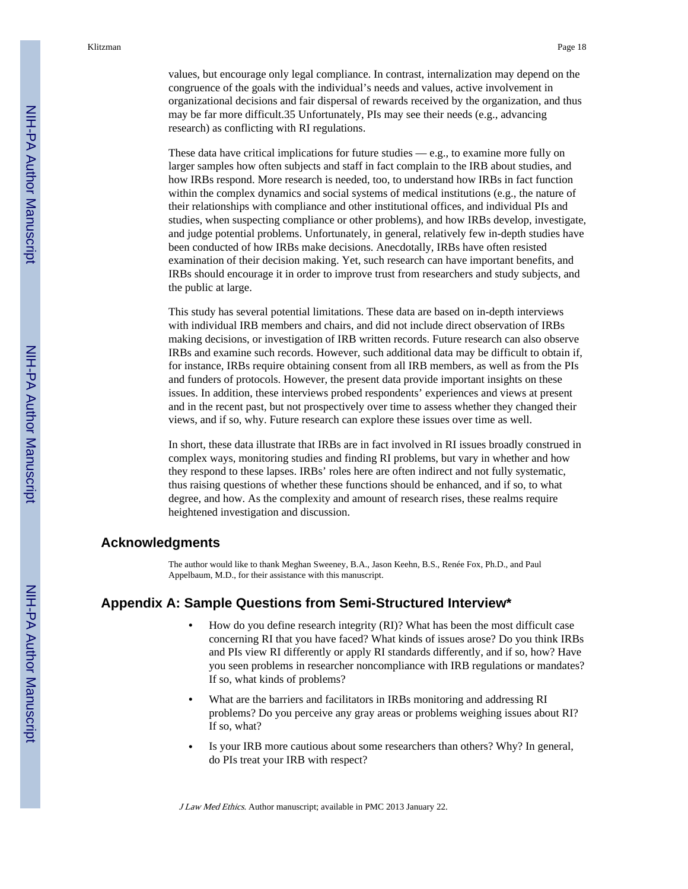values, but encourage only legal compliance. In contrast, internalization may depend on the congruence of the goals with the individual's needs and values, active involvement in organizational decisions and fair dispersal of rewards received by the organization, and thus may be far more difficult.35 Unfortunately, PIs may see their needs (e.g., advancing research) as conflicting with RI regulations.

These data have critical implications for future studies — e.g., to examine more fully on larger samples how often subjects and staff in fact complain to the IRB about studies, and how IRBs respond. More research is needed, too, to understand how IRBs in fact function within the complex dynamics and social systems of medical institutions (e.g., the nature of their relationships with compliance and other institutional offices, and individual PIs and studies, when suspecting compliance or other problems), and how IRBs develop, investigate, and judge potential problems. Unfortunately, in general, relatively few in-depth studies have been conducted of how IRBs make decisions. Anecdotally, IRBs have often resisted examination of their decision making. Yet, such research can have important benefits, and IRBs should encourage it in order to improve trust from researchers and study subjects, and the public at large.

This study has several potential limitations. These data are based on in-depth interviews with individual IRB members and chairs, and did not include direct observation of IRBs making decisions, or investigation of IRB written records. Future research can also observe IRBs and examine such records. However, such additional data may be difficult to obtain if, for instance, IRBs require obtaining consent from all IRB members, as well as from the PIs and funders of protocols. However, the present data provide important insights on these issues. In addition, these interviews probed respondents' experiences and views at present and in the recent past, but not prospectively over time to assess whether they changed their views, and if so, why. Future research can explore these issues over time as well.

In short, these data illustrate that IRBs are in fact involved in RI issues broadly construed in complex ways, monitoring studies and finding RI problems, but vary in whether and how they respond to these lapses. IRBs' roles here are often indirect and not fully systematic, thus raising questions of whether these functions should be enhanced, and if so, to what degree, and how. As the complexity and amount of research rises, these realms require heightened investigation and discussion.

## **Acknowledgments**

The author would like to thank Meghan Sweeney, B.A., Jason Keehn, B.S., Renée Fox, Ph.D., and Paul Appelbaum, M.D., for their assistance with this manuscript.

## **Appendix A: Sample Questions from Semi-Structured Interview\***

- **•** How do you define research integrity (RI)? What has been the most difficult case concerning RI that you have faced? What kinds of issues arose? Do you think IRBs and PIs view RI differently or apply RI standards differently, and if so, how? Have you seen problems in researcher noncompliance with IRB regulations or mandates? If so, what kinds of problems?
- **•** What are the barriers and facilitators in IRBs monitoring and addressing RI problems? Do you perceive any gray areas or problems weighing issues about RI? If so, what?
- **•** Is your IRB more cautious about some researchers than others? Why? In general, do PIs treat your IRB with respect?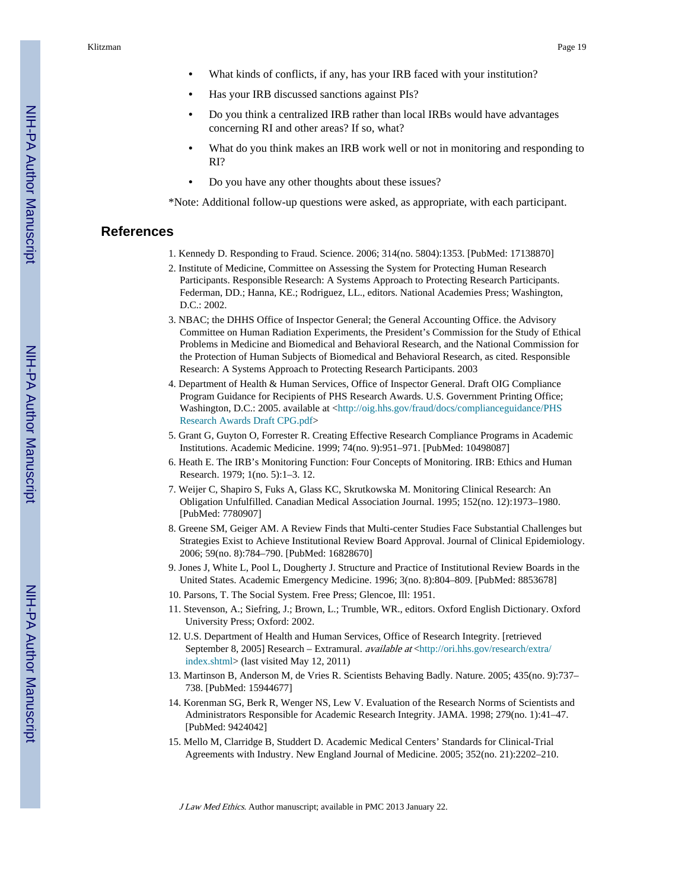Klitzman Page 19

- **•** What kinds of conflicts, if any, has your IRB faced with your institution?
- **•** Has your IRB discussed sanctions against PIs?
- **•** Do you think a centralized IRB rather than local IRBs would have advantages concerning RI and other areas? If so, what?
- **•** What do you think makes an IRB work well or not in monitoring and responding to RI?
- **•** Do you have any other thoughts about these issues?

\*Note: Additional follow-up questions were asked, as appropriate, with each participant.

## **References**

- 1. Kennedy D. Responding to Fraud. Science. 2006; 314(no. 5804):1353. [PubMed: 17138870]
- 2. Institute of Medicine, Committee on Assessing the System for Protecting Human Research Participants. Responsible Research: A Systems Approach to Protecting Research Participants. Federman, DD.; Hanna, KE.; Rodriguez, LL., editors. National Academies Press; Washington, D.C.: 2002.
- 3. NBAC; the DHHS Office of Inspector General; the General Accounting Office. the Advisory Committee on Human Radiation Experiments, the President's Commission for the Study of Ethical Problems in Medicine and Biomedical and Behavioral Research, and the National Commission for the Protection of Human Subjects of Biomedical and Behavioral Research, as cited. Responsible Research: A Systems Approach to Protecting Research Participants. 2003
- 4. Department of Health & Human Services, Office of Inspector General. Draft OIG Compliance Program Guidance for Recipients of PHS Research Awards. U.S. Government Printing Office; Washington, D.C.: 2005. available at <[http://oig.hhs.gov/fraud/docs/complianceguidance/PHS](http://oig.hhs.gov/fraud/docs/complianceguidance/PHSResearchAwardsDraftCPG.pdf) [Research Awards Draft CPG.pdf](http://oig.hhs.gov/fraud/docs/complianceguidance/PHSResearchAwardsDraftCPG.pdf)>
- 5. Grant G, Guyton O, Forrester R. Creating Effective Research Compliance Programs in Academic Institutions. Academic Medicine. 1999; 74(no. 9):951–971. [PubMed: 10498087]
- 6. Heath E. The IRB's Monitoring Function: Four Concepts of Monitoring. IRB: Ethics and Human Research. 1979; 1(no. 5):1–3. 12.
- 7. Weijer C, Shapiro S, Fuks A, Glass KC, Skrutkowska M. Monitoring Clinical Research: An Obligation Unfulfilled. Canadian Medical Association Journal. 1995; 152(no. 12):1973–1980. [PubMed: 7780907]
- 8. Greene SM, Geiger AM. A Review Finds that Multi-center Studies Face Substantial Challenges but Strategies Exist to Achieve Institutional Review Board Approval. Journal of Clinical Epidemiology. 2006; 59(no. 8):784–790. [PubMed: 16828670]
- 9. Jones J, White L, Pool L, Dougherty J. Structure and Practice of Institutional Review Boards in the United States. Academic Emergency Medicine. 1996; 3(no. 8):804–809. [PubMed: 8853678]
- 10. Parsons, T. The Social System. Free Press; Glencoe, Ill: 1951.
- 11. Stevenson, A.; Siefring, J.; Brown, L.; Trumble, WR., editors. Oxford English Dictionary. Oxford University Press; Oxford: 2002.
- 12. U.S. Department of Health and Human Services, Office of Research Integrity. [retrieved September 8, 2005] Research – Extramural. available at <[http://ori.hhs.gov/research/extra/](http://ori.hhs.gov/research/extra/index.shtml) [index.shtml](http://ori.hhs.gov/research/extra/index.shtml)> (last visited May 12, 2011)
- 13. Martinson B, Anderson M, de Vries R. Scientists Behaving Badly. Nature. 2005; 435(no. 9):737– 738. [PubMed: 15944677]
- 14. Korenman SG, Berk R, Wenger NS, Lew V. Evaluation of the Research Norms of Scientists and Administrators Responsible for Academic Research Integrity. JAMA. 1998; 279(no. 1):41–47. [PubMed: 9424042]
- 15. Mello M, Clarridge B, Studdert D. Academic Medical Centers' Standards for Clinical-Trial Agreements with Industry. New England Journal of Medicine. 2005; 352(no. 21):2202–210.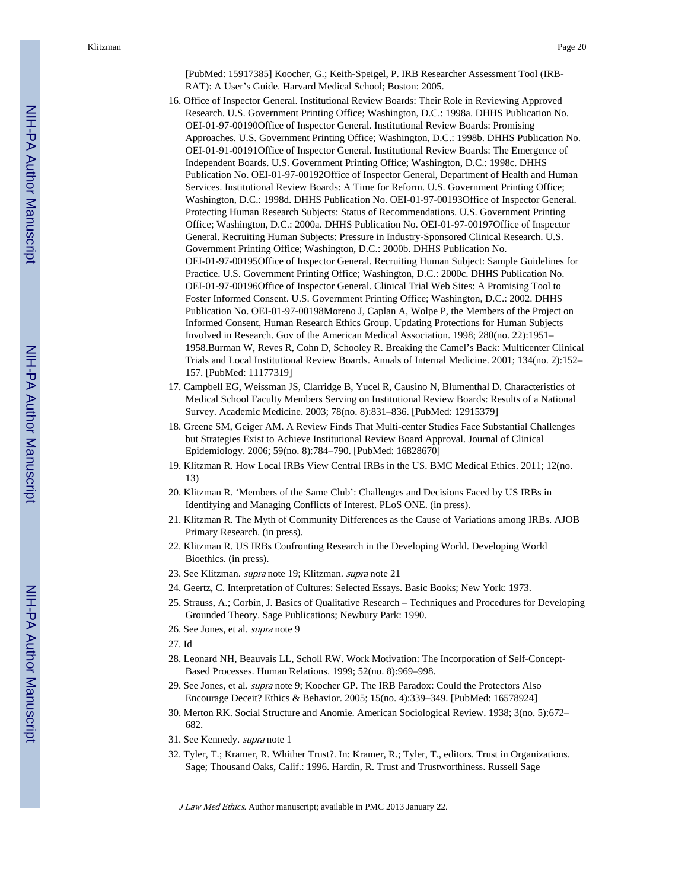[PubMed: 15917385] Koocher, G.; Keith-Speigel, P. IRB Researcher Assessment Tool (IRB-RAT): A User's Guide. Harvard Medical School; Boston: 2005.

- 16. Office of Inspector General. Institutional Review Boards: Their Role in Reviewing Approved Research. U.S. Government Printing Office; Washington, D.C.: 1998a. DHHS Publication No. OEI-01-97-00190Office of Inspector General. Institutional Review Boards: Promising Approaches. U.S. Government Printing Office; Washington, D.C.: 1998b. DHHS Publication No. OEI-01-91-00191Office of Inspector General. Institutional Review Boards: The Emergence of Independent Boards. U.S. Government Printing Office; Washington, D.C.: 1998c. DHHS Publication No. OEI-01-97-00192Office of Inspector General, Department of Health and Human Services. Institutional Review Boards: A Time for Reform. U.S. Government Printing Office; Washington, D.C.: 1998d. DHHS Publication No. OEI-01-97-00193Office of Inspector General. Protecting Human Research Subjects: Status of Recommendations. U.S. Government Printing Office; Washington, D.C.: 2000a. DHHS Publication No. OEI-01-97-00197Office of Inspector General. Recruiting Human Subjects: Pressure in Industry-Sponsored Clinical Research. U.S. Government Printing Office; Washington, D.C.: 2000b. DHHS Publication No. OEI-01-97-00195Office of Inspector General. Recruiting Human Subject: Sample Guidelines for Practice. U.S. Government Printing Office; Washington, D.C.: 2000c. DHHS Publication No. OEI-01-97-00196Office of Inspector General. Clinical Trial Web Sites: A Promising Tool to Foster Informed Consent. U.S. Government Printing Office; Washington, D.C.: 2002. DHHS Publication No. OEI-01-97-00198Moreno J, Caplan A, Wolpe P, the Members of the Project on Informed Consent, Human Research Ethics Group. Updating Protections for Human Subjects Involved in Research. Gov of the American Medical Association. 1998; 280(no. 22):1951– 1958.Burman W, Reves R, Cohn D, Schooley R. Breaking the Camel's Back: Multicenter Clinical Trials and Local Institutional Review Boards. Annals of Internal Medicine. 2001; 134(no. 2):152– 157. [PubMed: 11177319]
- 17. Campbell EG, Weissman JS, Clarridge B, Yucel R, Causino N, Blumenthal D. Characteristics of Medical School Faculty Members Serving on Institutional Review Boards: Results of a National Survey. Academic Medicine. 2003; 78(no. 8):831–836. [PubMed: 12915379]
- 18. Greene SM, Geiger AM. A Review Finds That Multi-center Studies Face Substantial Challenges but Strategies Exist to Achieve Institutional Review Board Approval. Journal of Clinical Epidemiology. 2006; 59(no. 8):784–790. [PubMed: 16828670]
- 19. Klitzman R. How Local IRBs View Central IRBs in the US. BMC Medical Ethics. 2011; 12(no. 13)
- 20. Klitzman R. 'Members of the Same Club': Challenges and Decisions Faced by US IRBs in Identifying and Managing Conflicts of Interest. PLoS ONE. (in press).
- 21. Klitzman R. The Myth of Community Differences as the Cause of Variations among IRBs. AJOB Primary Research. (in press).
- 22. Klitzman R. US IRBs Confronting Research in the Developing World. Developing World Bioethics. (in press).
- 23. See Klitzman. supra note 19; Klitzman. supra note 21
- 24. Geertz, C. Interpretation of Cultures: Selected Essays. Basic Books; New York: 1973.
- 25. Strauss, A.; Corbin, J. Basics of Qualitative Research Techniques and Procedures for Developing Grounded Theory. Sage Publications; Newbury Park: 1990.
- 26. See Jones, et al. supra note 9
- 27. Id
- 28. Leonard NH, Beauvais LL, Scholl RW. Work Motivation: The Incorporation of Self-Concept-Based Processes. Human Relations. 1999; 52(no. 8):969–998.
- 29. See Jones, et al. supra note 9; Koocher GP. The IRB Paradox: Could the Protectors Also Encourage Deceit? Ethics & Behavior. 2005; 15(no. 4):339–349. [PubMed: 16578924]
- 30. Merton RK. Social Structure and Anomie. American Sociological Review. 1938; 3(no. 5):672– 682.
- 31. See Kennedy. supra note 1
- 32. Tyler, T.; Kramer, R. Whither Trust?. In: Kramer, R.; Tyler, T., editors. Trust in Organizations. Sage; Thousand Oaks, Calif.: 1996. Hardin, R. Trust and Trustworthiness. Russell Sage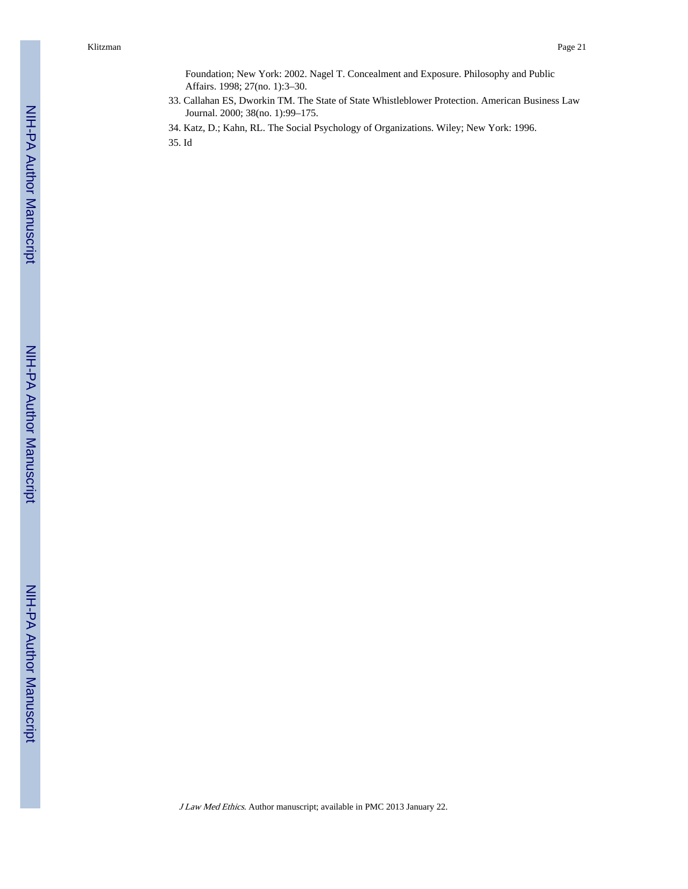Foundation; New York: 2002. Nagel T. Concealment and Exposure. Philosophy and Public Affairs. 1998; 27(no. 1):3–30.

33. Callahan ES, Dworkin TM. The State of State Whistleblower Protection. American Business Law Journal. 2000; 38(no. 1):99–175.

34. Katz, D.; Kahn, RL. The Social Psychology of Organizations. Wiley; New York: 1996.

35. Id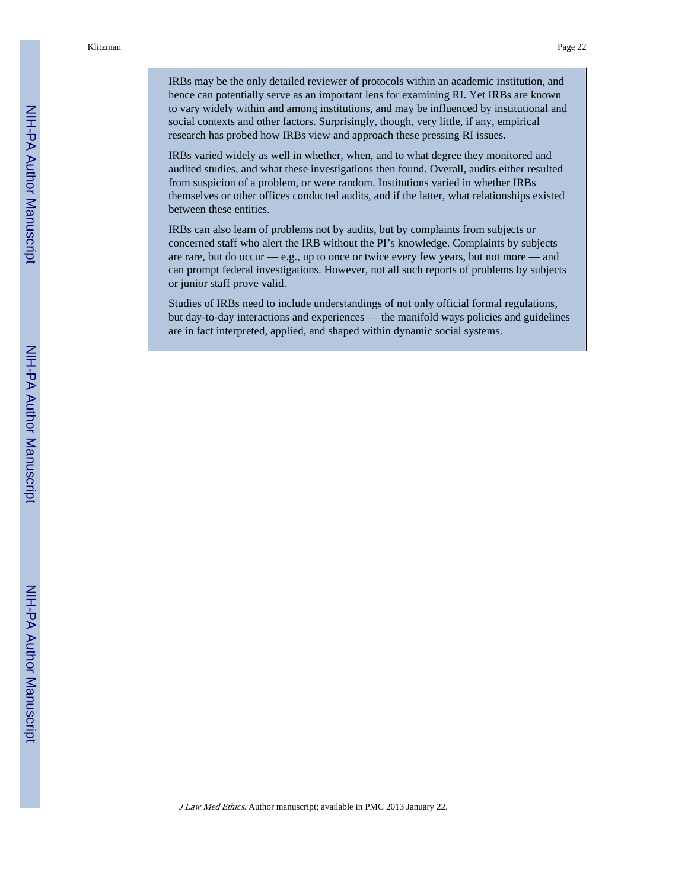Klitzman Page 22

IRBs may be the only detailed reviewer of protocols within an academic institution, and hence can potentially serve as an important lens for examining RI. Yet IRBs are known to vary widely within and among institutions, and may be influenced by institutional and social contexts and other factors. Surprisingly, though, very little, if any, empirical research has probed how IRBs view and approach these pressing RI issues.

IRBs varied widely as well in whether, when, and to what degree they monitored and audited studies, and what these investigations then found. Overall, audits either resulted from suspicion of a problem, or were random. Institutions varied in whether IRBs themselves or other offices conducted audits, and if the latter, what relationships existed between these entities.

IRBs can also learn of problems not by audits, but by complaints from subjects or concerned staff who alert the IRB without the PI's knowledge. Complaints by subjects are rare, but do occur — e.g., up to once or twice every few years, but not more — and can prompt federal investigations. However, not all such reports of problems by subjects or junior staff prove valid.

Studies of IRBs need to include understandings of not only official formal regulations, but day-to-day interactions and experiences — the manifold ways policies and guidelines are in fact interpreted, applied, and shaped within dynamic social systems.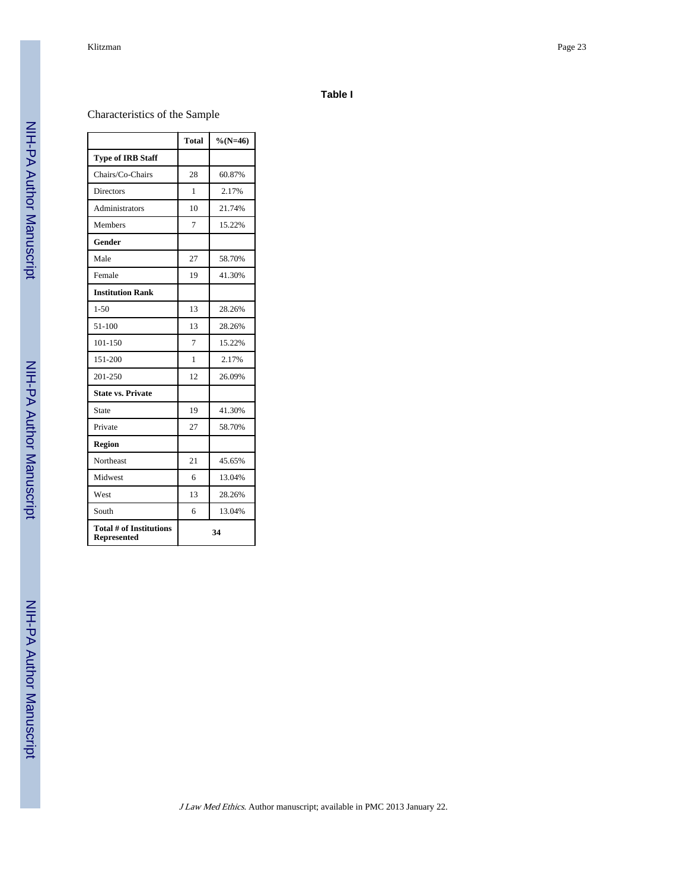## **Table I**

## Characteristics of the Sample

|                                                      | <b>Total</b> | $\%$ (N=46) |  |
|------------------------------------------------------|--------------|-------------|--|
| <b>Type of IRB Staff</b>                             |              |             |  |
| Chairs/Co-Chairs                                     | 28           | 60.87%      |  |
| Directors                                            | 1            | 2.17%       |  |
| Administrators                                       | 10           | 21.74%      |  |
| Members                                              | 7            | 15.22%      |  |
| Gender                                               |              |             |  |
| Male                                                 | 27           | 58.70%      |  |
| Female                                               | 19           | 41.30%      |  |
| <b>Institution Rank</b>                              |              |             |  |
| $1 - 50$                                             | 13           | 28.26%      |  |
| 51-100                                               | 13           | 28.26%      |  |
| 101-150                                              | 7            | 15.22%      |  |
| 151-200                                              | 1            | 2.17%       |  |
| 201-250                                              | 12           | 26.09%      |  |
| <b>State vs. Private</b>                             |              |             |  |
| State                                                | 19           | 41.30%      |  |
| Private                                              | 27           | 58.70%      |  |
| Region                                               |              |             |  |
| <b>Northeast</b>                                     | 21           | 45.65%      |  |
| Midwest                                              | 6            | 13.04%      |  |
| West                                                 | 13           | 28.26%      |  |
| South                                                | 6            | 13.04%      |  |
| <b>Total # of Institutions</b><br><b>Represented</b> |              | 34          |  |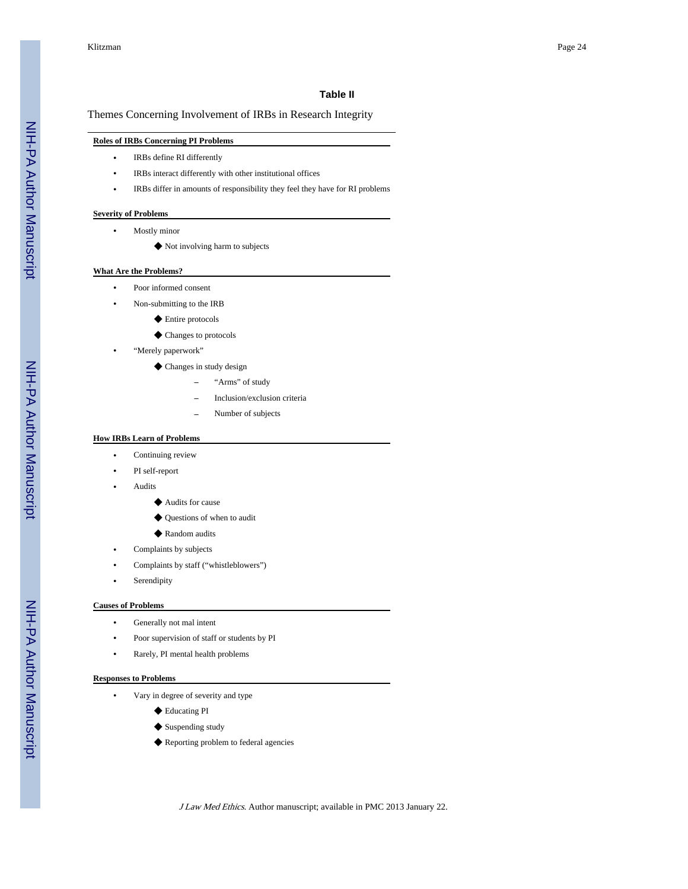#### **Table II**

#### Themes Concerning Involvement of IRBs in Research Integrity

#### **Roles of IRBs Concerning PI Problems**

- **•** IRBs define RI differently
- **•** IRBs interact differently with other institutional offices
- **•** IRBs differ in amounts of responsibility they feel they have for RI problems

#### **Severity of Problems**

- **•** Mostly minor
	- ◆ Not involving harm to subjects

#### **What Are the Problems?**

- **•** Poor informed consent
- **•** Non-submitting to the IRB
	- ◆ Entire protocols
	- ◆ Changes to protocols
- **•** "Merely paperwork"
	- ◆ Changes in study design
		- **–** "Arms" of study
		- **–** Inclusion/exclusion criteria
		- **–** Number of subjects

#### **How IRBs Learn of Problems**

- **•** Continuing review
- **•** PI self-report
- **•** Audits
	- ◆ Audits for cause
	- ◆ Questions of when to audit
	- ◆ Random audits
	- **•** Complaints by subjects
- **•** Complaints by staff ("whistleblowers")
- **•** Serendipity

#### **Causes of Problems**

- **•** Generally not mal intent
- **•** Poor supervision of staff or students by PI
- **•** Rarely, PI mental health problems

#### **Responses to Problems**

- **•** Vary in degree of severity and type
	- ◆ Educating PI
	- ◆ Suspending study
	- ◆ Reporting problem to federal agencies